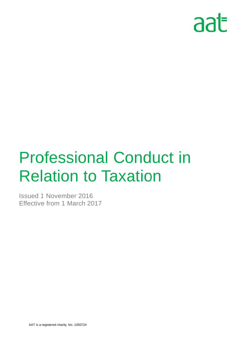

# Professional Conduct in **Relation to Taxation**  $\mathop{\mathsf{Ind}}\limits_{\mathsf{2017}}$

Issued 1 November 2016 Effective from 1 March 2017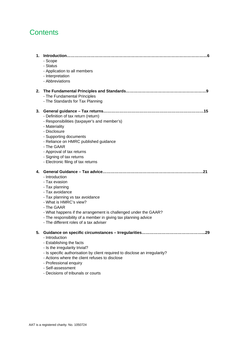# **Contents**

| 1. | - Scope<br>- Status<br>- Application to all members<br>- Interpretation<br>- Abbreviations                                                                                                                                                                                                                                                                       |
|----|------------------------------------------------------------------------------------------------------------------------------------------------------------------------------------------------------------------------------------------------------------------------------------------------------------------------------------------------------------------|
| 2. | - The Fundamental Principles<br>- The Standards for Tax Planning                                                                                                                                                                                                                                                                                                 |
| 3. | - Definition of tax return (return)<br>- Responsibilities (taxpayer's and member's)<br>- Materiality<br>- Disclosure<br>- Supporting documents<br>- Reliance on HMRC published guidance<br>- The GAAR<br>- Approval of tax returns<br>- Signing of tax returns<br>- Electronic filing of tax returns                                                             |
| 4. | .21<br>- Introduction<br>- Tax evasion<br>- Tax planning<br>- Tax avoidance<br>- Tax planning vs tax avoidance<br>- What is HMRC's view?<br>- The GAAR<br>- What happens if the arrangement is challenged under the GAAR?<br>- The responsibility of a member in giving tax planning advice<br>- The different roles of a tax adviser                            |
| 5. | Guidance on specific circumstances - Irregularities<br>.29<br>- Introduction<br>- Establishing the facts<br>- Is the irregularity trivial?<br>- Is specific authorisation by client required to disclose an irregularity?<br>- Actions where the client refuses to disclose<br>- Professional enquiry<br>- Self-assessment<br>- Decisions of tribunals or courts |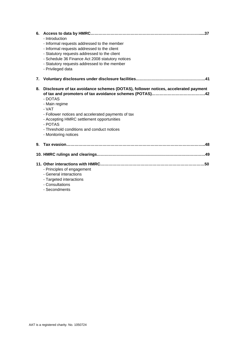| 6. | - Introduction<br>- Informal requests addressed to the member<br>- Informal requests addressed to the client<br>- Statutory requests addressed to the client<br>- Schedule 36 Finance Act 2008 statutory notices<br>- Statutory requests addressed to the member<br>- Privileged data                       |
|----|-------------------------------------------------------------------------------------------------------------------------------------------------------------------------------------------------------------------------------------------------------------------------------------------------------------|
| 7. |                                                                                                                                                                                                                                                                                                             |
| 8. | Disclosure of tax avoidance schemes (DOTAS), follower notices, accelerated payment<br>- DOTAS<br>- Main regime<br>- VAT<br>- Follower notices and accelerated payments of tax<br>- Accepting HMRC settlement opportunities<br>- POTAS<br>- Threshold conditions and conduct notices<br>- Monitoring notices |
| 9. | .48                                                                                                                                                                                                                                                                                                         |
|    |                                                                                                                                                                                                                                                                                                             |
|    | - Principles of engagement<br>- General interactions<br>- Targeted interactions<br>- Consultations<br>- Secondments                                                                                                                                                                                         |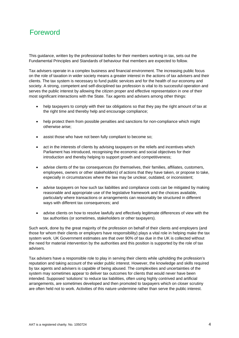# Foreword

This guidance, written by the professional bodies for their members working in tax, sets out the Fundamental Principles and Standards of behaviour that members are expected to follow.

Tax advisers operate in a complex business and financial environment. The increasing public focus on the role of taxation in wider society means a greater interest in the actions of tax advisers and their clients. The tax system is necessary to fund public services and for the health of our economy and society. A strong, competent and self-disciplined tax profession is vital to its successful operation and serves the public interest by allowing the citizen proper and effective representation in one of their most significant interactions with the State. Tax agents and advisers among other things:

- help taxpayers to comply with their tax obligations so that they pay the right amount of tax at the right time and thereby help and encourage compliance;
- help protect them from possible penalties and sanctions for non-compliance which might otherwise arise;
- assist those who have not been fully compliant to become so;
- act in the interests of clients by advising taxpayers on the reliefs and incentives which Parliament has introduced, recognising the economic and social objectives for their introduction and thereby helping to support growth and competitiveness;
- advise clients of the tax consequences (for themselves, their families, affiliates, customers, employees, owners or other stakeholders) of actions that they have taken, or propose to take, especially in circumstances where the law may be unclear, outdated, or inconsistent;
- advise taxpayers on how such tax liabilities and compliance costs can be mitigated by making reasonable and appropriate use of the legislative framework and the choices available, particularly where transactions or arrangements can reasonably be structured in different ways with different tax consequences; and
- advise clients on how to resolve lawfully and effectively legitimate differences of view with the tax authorities (or sometimes, stakeholders or other taxpayers).

Such work, done by the great majority of the profession on behalf of their clients and employers (and those for whom their clients or employers have responsibility) plays a vital role in helping make the tax system work. UK Government estimates are that over 90% of tax due in the UK is collected without the need for material intervention by the authorities and this position is supported by the role of tax advisers.

Tax advisers have a responsible role to play in serving their clients while upholding the profession's reputation and taking account of the wider public interest. However, the knowledge and skills required by tax agents and advisers is capable of being abused. The complexities and uncertainties of the system may sometimes appear to deliver tax outcomes for clients that would never have been intended. Supposed 'solutions' to reduce tax liabilities, often using highly contrived and artificial arrangements, are sometimes developed and then promoted to taxpayers which on closer scrutiny are often held not to work. Activities of this nature undermine rather than serve the public interest.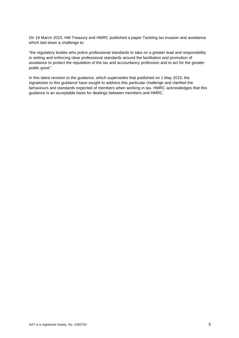On 19 March 2015, HM Treasury and HMRC published a paper Tackling tax evasion and avoidance which laid down a challenge to:

"the regulatory bodies who police professional standards to take on a greater lead and responsibility in setting and enforcing clear professional standards around the facilitation and promotion of avoidance to protect the reputation of the tax and accountancy profession and to act for the greater public good."

In this latest revision to the guidance, which supersedes that published on 1 May 2015, the signatories to this guidance have sought to address this particular challenge and clarified the behaviours and standards expected of members when working in tax. HMRC acknowledges that this guidance is an acceptable basis for dealings between members and HMRC.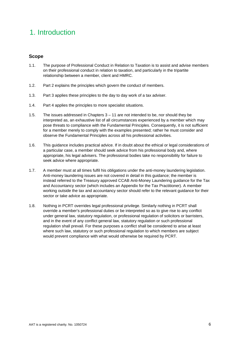# 1. Introduction

# **Scope**

- 1.1. The purpose of Professional Conduct in Relation to Taxation is to assist and advise members on their professional conduct in relation to taxation, and particularly in the tripartite relationship between a member, client and HMRC.
- 1.2. Part 2 explains the principles which govern the conduct of members.
- 1.3. Part 3 applies these principles to the day to day work of a tax adviser.
- 1.4. Part 4 applies the principles to more specialist situations.
- 1.5. The issues addressed in Chapters 3 11 are not intended to be, nor should they be interpreted as, an exhaustive list of all circumstances experienced by a member which may pose threats to compliance with the Fundamental Principles. Consequently, it is not sufficient for a member merely to comply with the examples presented; rather he must consider and observe the Fundamental Principles across all his professional activities.
- 1.6. This guidance includes practical advice. If in doubt about the ethical or legal considerations of a particular case, a member should seek advice from his professional body and, where appropriate, his legal advisers. The professional bodies take no responsibility for failure to seek advice where appropriate.
- 1.7. A member must at all times fulfil his obligations under the anti-money laundering legislation. Anti-money laundering issues are not covered in detail in this guidance; the member is instead referred to the Treasury approved CCAB Anti-Money Laundering guidance for the Tax and Accountancy sector (which includes an Appendix for the Tax Practitioner). A member working outside the tax and accountancy sector should refer to the relevant guidance for their sector or take advice as appropriate.
- 1.8. Nothing in PCRT overrides legal professional privilege. Similarly nothing in PCRT shall override a member's professional duties or be interpreted so as to give rise to any conflict under general law, statutory regulation, or professional regulation of solicitors or barristers, and in the event of any conflict general law, statutory regulation or such professional regulation shall prevail. For these purposes a conflict shall be considered to arise at least where such law, statutory or such professional regulation to which members are subject would prevent compliance with what would otherwise be required by PCRT.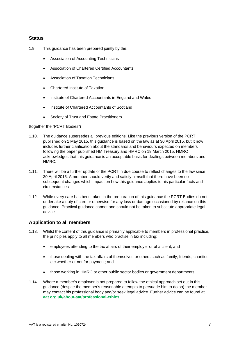# **Status**

- 1.9. This guidance has been prepared jointly by the:
	- Association of Accounting Technicians
	- Association of Chartered Certified Accountants
	- Association of Taxation Technicians
	- Chartered Institute of Taxation
	- Institute of Chartered Accountants in England and Wales
	- Institute of Chartered Accountants of Scotland
	- Society of Trust and Estate Practitioners

# (together the "PCRT Bodies")

- 1.10. The guidance supersedes all previous editions. Like the previous version of the PCRT published on 1 May 2015, this guidance is based on the law as at 30 April 2015, but it now includes further clarification about the standards and behaviours expected on members following the paper published HM Treasury and HMRC on 19 March 2015. HMRC acknowledges that this guidance is an acceptable basis for dealings between members and HMRC.
- 1.11. There will be a further update of the PCRT in due course to reflect changes to the law since 30 April 2015. A member should verify and satisfy himself that there have been no subsequent changes which impact on how this guidance applies to his particular facts and circumstances.
- 1.12. While every care has been taken in the preparation of this guidance the PCRT Bodies do not undertake a duty of care or otherwise for any loss or damage occasioned by reliance on this guidance. Practical guidance cannot and should not be taken to substitute appropriate legal advice.

# **Application to all members**

- 1.13. Whilst the content of this guidance is primarily applicable to members in professional practice, the principles apply to all members who practise in tax including:
	- employees attending to the tax affairs of their employer or of a client; and
	- those dealing with the tax affairs of themselves or others such as family, friends, charities etc whether or not for payment; and
	- those working in HMRC or other public sector bodies or government departments.
- 1.14. Where a member's employer is not prepared to follow the ethical approach set out in this guidance (despite the member's reasonable attempts to persuade him to do so) the member may contact his professional body and/or seek legal advice. Further advice can be found at **aat.org.uk/about-aat/professional-ethics**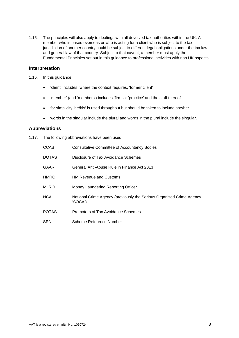1.15. The principles will also apply to dealings with all devolved tax authorities within the UK. A member who is based overseas or who is acting for a client who is subject to the tax jurisdiction of another country could be subject to different legal obligations under the tax law and general law of that country. Subject to that caveat, a member must apply the Fundamental Principles set out in this guidance to professional activities with non UK aspects.

# **Interpretation**

- 1.16. In this guidance
	- 'client' includes, where the context requires, 'former client'
	- 'member' (and 'members') includes 'firm' or 'practice' and the staff thereof
	- for simplicity 'he/his' is used throughout but should be taken to include she/her
	- words in the singular include the plural and words in the plural include the singular.

# **Abbreviations**

1.17. The following abbreviations have been used:

| <b>CCAB</b>  | <b>Consultative Committee of Accountancy Bodies</b>                             |
|--------------|---------------------------------------------------------------------------------|
| <b>DOTAS</b> | Disclosure of Tax Avoidance Schemes                                             |
| <b>GAAR</b>  | General Anti-Abuse Rule in Finance Act 2013                                     |
| <b>HMRC</b>  | <b>HM Revenue and Customs</b>                                                   |
| <b>MLRO</b>  | Money Laundering Reporting Officer                                              |
| <b>NCA</b>   | National Crime Agency (previously the Serious Organised Crime Agency<br>'SOCA') |
| <b>POTAS</b> | Promoters of Tax Avoidance Schemes                                              |
| <b>SRN</b>   | Scheme Reference Number                                                         |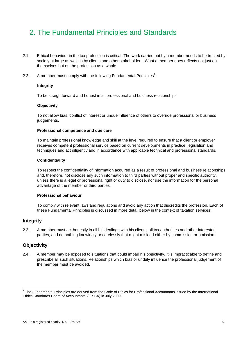# 2. The Fundamental Principles and Standards

- 2.1. Ethical behaviour in the tax profession is critical. The work carried out by a member needs to be trusted by society at large as well as by clients and other stakeholders. What a member does reflects not just on themselves but on the profession as a whole.
- 2.2. A member must comply with the following Fundamental Principles<sup>1</sup>:

#### **Integrity**

To be straightforward and honest in all professional and business relationships.

#### **Objectivity**

To not allow bias, conflict of interest or undue influence of others to override professional or business judgements.

#### **Professional competence and due care**

To maintain professional knowledge and skill at the level required to ensure that a client or employer receives competent professional service based on current developments in practice, legislation and techniques and act diligently and in accordance with applicable technical and professional standards.

#### **Confidentiality**

To respect the confidentiality of information acquired as a result of professional and business relationships and, therefore, not disclose any such information to third parties without proper and specific authority, unless there is a legal or professional right or duty to disclose, nor use the information for the personal advantage of the member or third parties.

#### **Professional behaviour**

To comply with relevant laws and regulations and avoid any action that discredits the profession. Each of these Fundamental Principles is discussed in more detail below in the context of taxation services.

#### **Integrity**

2.3. A member must act honestly in all his dealings with his clients, all tax authorities and other interested parties, and do nothing knowingly or carelessly that might mislead either by commission or omission.

#### **Objectivity**

2.4. A member may be exposed to situations that could impair his objectivity. It is impracticable to define and prescribe all such situations. Relationships which bias or unduly influence the professional judgement of the member must be avoided.

 1 The Fundamental Principles are derived from the Code of Ethics for Professional Accountants issued by the International Ethics Standards Board of Accountants' (IESBA) in July 2009.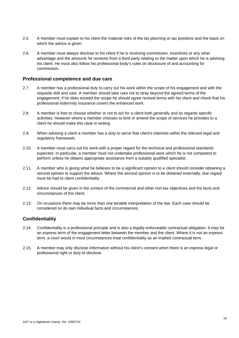- 2.5. A member must explain to his client the material risks of the tax planning or tax positions and the basis on which the advice is given.
- 2.6. A member must always disclose to his client if he is receiving commission, incentives or any other advantage and the amounts he receives from a third party relating to the matter upon which he is advising his client. He must also follow his professional body's rules on disclosure of and accounting for commission.

# **Professional competence and due care**

- 2.7. A member has a professional duty to carry out his work within the scope of his engagement and with the requisite skill and care. A member should take care not to stray beyond the agreed terms of the engagement; if he does exceed the scope he should agree revised terms with his client and check that his professional indemnity insurance covers the enhanced work.
- 2.8. A member is free to choose whether or not to act for a client both generally and as regards specific activities. However where a member chooses to limit or amend the scope of services he provides to a client he should make this clear in writing.
- 2.9. When advising a client a member has a duty to serve that client's interests within the relevant legal and regulatory framework.
- 2.10. A member must carry out his work with a proper regard for the technical and professional standards expected. In particular, a member must not undertake professional work which he is not competent to perform unless he obtains appropriate assistance from a suitably qualified specialist.
- 2.11. A member who is giving what he believes to be a significant opinion to a client should consider obtaining a second opinion to support the advice. Where the second opinion is to be obtained externally, due regard must be had to client confidentiality.
- 2.12. Advice should be given in the context of the commercial and other non-tax objectives and the facts and circumstances of the client.
- 2.13. On occasions there may be more than one tenable interpretation of the law. Each case should be considered on its own individual facts and circumstances.

# **Confidentiality**

- 2.14. Confidentiality is a professional principle and is also a legally enforceable contractual obligation. It may be an express term of the engagement letter between the member and the client. Where it is not an express term, a court would in most circumstances treat confidentiality as an implied contractual term.
- 2.15. A member may only disclose information without his client's consent when there is an express legal or professional right or duty to disclose.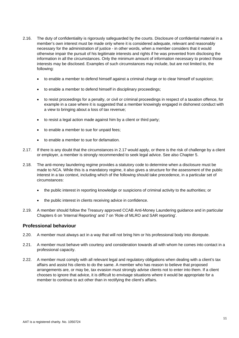- 2.16. The duty of confidentiality is rigorously safeguarded by the courts. Disclosure of confidential material in a member's own interest must be made only where it is considered adequate, relevant and reasonably necessary for the administration of justice - in other words, when a member considers that it would otherwise impair the pursuit of his legitimate interests and rights if he was prevented from disclosing the information in all the circumstances. Only the minimum amount of information necessary to protect those interests may be disclosed. Examples of such circumstances may include, but are not limited to, the following:
	- to enable a member to defend himself against a criminal charge or to clear himself of suspicion;
	- to enable a member to defend himself in disciplinary proceedings;
	- to resist proceedings for a penalty, or civil or criminal proceedings in respect of a taxation offence, for example in a case where it is suggested that a member knowingly engaged in dishonest conduct with a view to bringing about a loss of tax revenue;
	- to resist a legal action made against him by a client or third party;
	- to enable a member to sue for unpaid fees;
	- to enable a member to sue for defamation.
- 2.17. If there is any doubt that the circumstances in 2.17 would apply, or there is the risk of challenge by a client or employer, a member is strongly recommended to seek legal advice. See also Chapter 5.
- 2.18. The anti-money laundering regime provides a statutory code to determine when a disclosure must be made to NCA. While this is a mandatory regime, it also gives a structure for the assessment of the public interest in a tax context, including which of the following should take precedence, in a particular set of circumstances:
	- the public interest in reporting knowledge or suspicions of criminal activity to the authorities; or
	- the public interest in clients receiving advice in confidence.
- 2.19. A member should follow the Treasury approved CCAB Anti-Money Laundering guidance and in particular Chapters 6 on 'Internal Reporting' and 7 on 'Role of MLRO and SAR reporting'.

#### **Professional behaviour**

- 2.20. A member must always act in a way that will not bring him or his professional body into disrepute.
- 2.21. A member must behave with courtesy and consideration towards all with whom he comes into contact in a professional capacity.
- 2.22. A member must comply with all relevant legal and regulatory obligations when dealing with a client's tax affairs and assist his clients to do the same. A member who has reason to believe that proposed arrangements are, or may be, tax evasion must strongly advise clients not to enter into them. If a client chooses to ignore that advice, it is difficult to envisage situations where it would be appropriate for a member to continue to act other than in rectifying the client's affairs.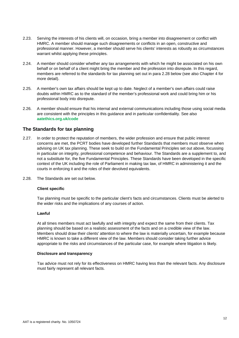- 2.23. Serving the interests of his clients will, on occasion, bring a member into disagreement or conflict with HMRC. A member should manage such disagreements or conflicts in an open, constructive and professional manner. However, a member should serve his clients' interests as robustly as circumstances warrant whilst applying these principles.
- 2.24. A member should consider whether any tax arrangements with which he might be associated on his own behalf or on behalf of a client might bring the member and the profession into disrepute. In this regard, members are referred to the standards for tax planning set out in para 2.28 below (see also Chapter 4 for more detail).
- 2.25. A member's own tax affairs should be kept up to date. Neglect of a member's own affairs could raise doubts within HMRC as to the standard of the member's professional work and could bring him or his professional body into disrepute.
- 2.26. A member should ensure that his internal and external communications including those using social media are consistent with the principles in this guidance and in particular confidentiality. See also **aatethics.org.uk/code**

# **The Standards for tax planning**

- 2.27. In order to protect the reputation of members, the wider profession and ensure that public interest concerns are met, the PCRT bodies have developed further Standards that members must observe when advising on UK tax planning. These seek to build on the Fundamental Principles set out above, focussing in particular on integrity, professional competence and behaviour. The Standards are a supplement to, and not a substitute for, the five Fundamental Principles. These Standards have been developed in the specific context of the UK including the role of Parliament in making tax law, of HMRC in administering it and the courts in enforcing it and the roles of their devolved equivalents.
- 2.28. The Standards are set out below.

#### **Client specific**

Tax planning must be specific to the particular client's facts and circumstances. Clients must be alerted to the wider risks and the implications of any courses of action.

#### **Lawful**

At all times members must act lawfully and with integrity and expect the same from their clients. Tax planning should be based on a realistic assessment of the facts and on a credible view of the law. Members should draw their clients' attention to where the law is materially uncertain, for example because HMRC is known to take a different view of the law. Members should consider taking further advice appropriate to the risks and circumstances of the particular case, for example where litigation is likely.

#### **Disclosure and transparency**

Tax advice must not rely for its effectiveness on HMRC having less than the relevant facts. Any disclosure must fairly represent all relevant facts.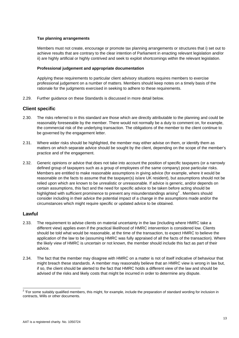#### **Tax planning arrangements**

Members must not create, encourage or promote tax planning arrangements or structures that i) set out to achieve results that are contrary to the clear intention of Parliament in enacting relevant legislation and/or ii) are highly artificial or highly contrived and seek to exploit shortcomings within the relevant legislation.

#### **Professional judgement and appropriate documentation**

Applying these requirements to particular client advisory situations requires members to exercise professional judgement on a number of matters. Members should keep notes on a timely basis of the rationale for the judgments exercised in seeking to adhere to these requirements.

2.29. Further guidance on these Standards is discussed in more detail below.

# **Client specific**

- 2.30. The risks referred to in this standard are those which are directly attributable to the planning and could be reasonably foreseeable by the member. There would not normally be a duty to comment on, for example, the commercial risk of the underlying transaction. The obligations of the member to the client continue to be governed by the engagement letter.
- 2.31. Where wider risks should be highlighted, the member may either advise on them, or identify them as matters on which separate advice should be sought by the client, depending on the scope of the member's practice and of the engagement.
- 2.32. Generic opinions or advice that does not take into account the position of specific taxpayers (or a narrowly defined group of taxpayers such as a group of employees of the same company) pose particular risks. Members are entitled to make reasonable assumptions in giving advice (for example, where it would be reasonable on the facts to assume that the taxpayer(s) is/are UK resident), but assumptions should not be relied upon which are known to be unrealistic or unreasonable. If advice is generic, and/or depends on certain assumptions, this fact and the need for specific advice to be taken before acting should be highlighted with sufficient prominence to prevent any misunderstandings arising<sup>2</sup>. Members should consider including in their advice the potential impact of a change in the assumptions made and/or the circumstances which might require specific or updated advice to be obtained.

# **Lawful**

- 2.33. The requirement to advise clients on material uncertainty in the law (including where HMRC take a different view) applies even if the practical likelihood of HMRC intervention is considered low. Clients should be told what would be reasonable, at the time of the transaction, to expect HMRC to believe the application of the law to be (assuming HMRC was fully appraised of all the facts of the transaction). Where the likely view of HMRC is uncertain or not known, the member should include this fact as part of their advice.
- 2.34. The fact that the member may disagree with HMRC on a matter is not of itself indicative of behaviour that might breach these standards. A member may reasonably believe that an HMRC view is wrong in law but, if so, the client should be alerted to the fact that HMRC holds a different view of the law and should be advised of the risks and likely costs that might be incurred in order to determine any dispute.

eral once the product of the product of the some state of the preparation of standard wording for inclusion in<br>The suitably qualified members, this might, for example, include the preparation of standard wording for inclus contracts, Wills or other documents.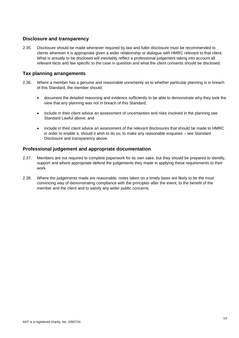# **Disclosure and transparency**

2.35. Disclosure should be made whenever required by law and fuller disclosure must be recommended to clients wherever it is appropriate given a wider relationship or dialogue with HMRC relevant to that client. What is actually to be disclosed will inevitably reflect a professional judgement taking into account all relevant facts and law specific to the case in question and what the client consents should be disclosed.

# **Tax planning arrangements**

- 2.36. Where a member has a genuine and reasonable uncertainty as to whether particular planning is in breach of this Standard, the member should;
	- document the detailed reasoning and evidence sufficiently to be able to demonstrate why they took the view that any planning was not in breach of this Standard;
	- include in their client advice an assessment of uncertainties and risks involved in the planning see Standard Lawful above; and
	- include in their client advice an assessment of the relevant disclosures that should be made to HMRC in order to enable it, should it wish to do so, to make any reasonable enquiries – see Standard Disclosure and transparency above.

# **Professional judgement and appropriate documentation**

- 2.37. Members are not required to complete paperwork for its own sake, but they should be prepared to identify, support and where appropriate defend the judgements they made in applying these requirements to their work.
- 2.38. Where the judgements made are reasonable, notes taken on a timely basis are likely to be the most convincing way of demonstrating compliance with the principles after the event, to the benefit of the member and the client and to satisfy any wider public concerns.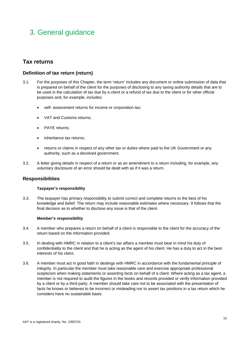# 3. General guidance

# **Tax returns**

# **Definition of tax return (return)**

- 3.1. For the purposes of this Chapter, the term 'return' includes any document or online submission of data that is prepared on behalf of the client for the purposes of disclosing to any taxing authority details that are to be used in the calculation of tax due by a client or a refund of tax due to the client or for other official purposes and, for example, includes:
	- self- assessment returns for income or corporation tax;
	- VAT and Customs returns;
	- PAYE returns;
	- inheritance tax returns;
	- returns or claims in respect of any other tax or duties where paid to the UK Government or any authority, such as a devolved government.
- 3.2. A letter giving details in respect of a return or as an amendment to a return including, for example, any voluntary disclosure of an error should be dealt with as if it was a return.

# **Responsibilities**

#### **Taxpayer's responsibility**

3.3. The taxpayer has primary responsibility to submit correct and complete returns to the best of his knowledge and belief. The return may include reasonable estimates where necessary. It follows that the final decision as to whether to disclose any issue is that of the client.

#### **Member's responsibility**

- 3.4. A member who prepares a return on behalf of a client is responsible to the client for the accuracy of the return based on the information provided.
- 3.5. In dealing with HMRC in relation to a client's tax affairs a member must bear in mind his duty of confidentiality to the client and that he is acting as the agent of his client. He has a duty to act in the best interests of his client.
- 3.6. A member must act in good faith in dealings with HMRC in accordance with the fundamental principle of integrity. In particular the member must take reasonable care and exercise appropriate professional scepticism when making statements or asserting facts on behalf of a client. Where acting as a tax agent, a member is not required to audit the figures in the books and records provided or verify information provided by a client or by a third party. A member should take care not to be associated with the presentation of facts he knows or believes to be incorrect or misleading nor to assert tax positions in a tax return which he considers have no sustainable basis.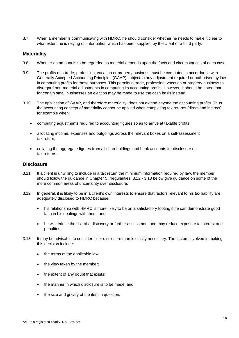3.7. When a member is communicating with HMRC, he should consider whether he needs to make it clear to what extent he is relying on information which has been supplied by the client or a third party.

# **Materiality**

- 3.8. Whether an amount is to be regarded as material depends upon the facts and circumstances of each case.
- 3.9. The profits of a trade, profession, vocation or property business must be computed in accordance with Generally Accepted Accounting Principles (GAAP) subject to any adjustment required or authorised by law in computing profits for those purposes. This permits a trade, profession, vocation or property business to disregard non-material adjustments in computing its accounting profits. However, it should be noted that for certain small businesses an election may be made to use the cash basis instead.
- 3.10. The application of GAAP, and therefore materiality, does not extend beyond the accounting profits. Thus the accounting concept of materiality cannot be applied when completing tax returns (direct and indirect), for example when:
	- computing adjustments required to accounting figures so as to arrive at taxable profits;
	- allocating income, expenses and outgoings across the relevant boxes on a self-assessment tax return;
	- collating the aggregate figures from all shareholdings and bank accounts for disclosure on tax returns.

# **Disclosure**

- 3.11. If a client is unwilling to include in a tax return the minimum information required by law, the member should follow the guidance in Chapter 5 Irregularities. 3.12 - 3.18 below give guidance on some of the more common areas of uncertainty over disclosure.
- 3.12. In general, it is likely to be in a client's own interests to ensure that factors relevant to his tax liability are adequately disclosed to HMRC because:
	- his relationship with HMRC is more likely to be on a satisfactory footing if he can demonstrate good faith in his dealings with them; and
	- he will reduce the risk of a discovery or further assessment and may reduce exposure to interest and penalties.
- 3.13. It may be advisable to consider fuller disclosure than is strictly necessary. The factors involved in making this decision include:
	- the terms of the applicable law;
	- the view taken by the member;
	- the extent of any doubt that exists;
	- the manner in which disclosure is to be made; and
	- the size and gravity of the item in question.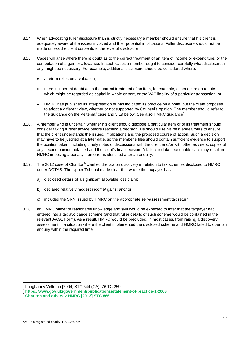- 3.14. When advocating fuller disclosure than is strictly necessary a member should ensure that his client is adequately aware of the issues involved and their potential implications. Fuller disclosure should not be made unless the client consents to the level of disclosure.
- 3.15. Cases will arise where there is doubt as to the correct treatment of an item of income or expenditure, or the computation of a gain or allowance. In such cases a member ought to consider carefully what disclosure, if any, might be necessary. For example, additional disclosure should be considered where:
	- a return relies on a valuation;
	- there is inherent doubt as to the correct treatment of an item, for example, expenditure on repairs which might be regarded as capital in whole or part, or the VAT liability of a particular transaction; or
	- HMRC has published its interpretation or has indicated its practice on a point, but the client proposes to adopt a different view, whether or not supported by Counsel's opinion. The member should refer to the guidance on the Veltema<sup>3</sup> case and 3.19 below. See also HMRC guidance<sup>4</sup>.
- 3.16. A member who is uncertain whether his client should disclose a particular item or of its treatment should consider taking further advice before reaching a decision. He should use his best endeavours to ensure that the client understands the issues, implications and the proposed course of action. Such a decision may have to be justified at a later date, so the member's files should contain sufficient evidence to support the position taken, including timely notes of discussions with the client and/or with other advisers, copies of any second opinion obtained and the client's final decision. A failure to take reasonable care may result in HMRC imposing a penalty if an error is identified after an enquiry.
- 3.17. The 2012 case of Charlton<sup>5</sup> clarified the law on discovery in relation to tax schemes disclosed to HMRC under DOTAS. The Upper Tribunal made clear that where the taxpayer has:
	- a) disclosed details of a significant allowable loss claim;
	- b) declared relatively modest income/ gains; and/ or
	- c) included the SRN issued by HMRC on the appropriate self-assessment tax return.
- 3.18. an HMRC officer of reasonable knowledge and skill would be expected to infer that the taxpayer had entered into a tax avoidance scheme (and that fuller details of such scheme would be contained in the relevant AAG1 Form). As a result, HMRC would be precluded, in most cases, from raising a discovery assessment in a situation where the client implemented the disclosed scheme and HMRC failed to open an enquiry within the required time.

 3 Langham v Veltema [2004] STC 544 (CA), 76 TC 259.

<sup>4</sup> **https://www.gov.uk/government/publications/statement-of-practice-1-2006**<sup>5</sup> **Charlton and others v HMRC [2013] STC 866.**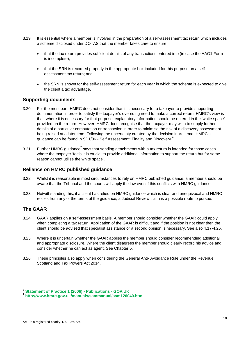- 3.19. It is essential where a member is involved in the preparation of a self-assessment tax return which includes a scheme disclosed under DOTAS that the member takes care to ensure:
	- that the tax return provides sufficient details of any transactions entered into (in case the AAG1 Form is incomplete);
	- that the SRN is recorded properly in the appropriate box included for this purpose on a selfassessment tax return; and
	- the SRN is shown for the self-assessment return for each year in which the scheme is expected to give the client a tax advantage.

# **Supporting documents**

- 3.20. For the most part, HMRC does not consider that it is necessary for a taxpayer to provide supporting documentation in order to satisfy the taxpayer's overriding need to make a correct return. HMRC's view is that, where it is necessary for that purpose, explanatory information should be entered in the 'white space' provided on the return. However, HMRC does recognise that the taxpayer may wish to supply further details of a particular computation or transaction in order to minimise the risk of a discovery assessment being raised at a later time. Following the uncertainty created by the decision in Veltema, HMRC's guidance can be found in SP1/06 - Self Assessment: Finality and Discovery  $^6$ .
- 3.21. Further HMRC guidance<sup>7</sup> says that sending attachments with a tax return is intended for those cases where the taxpayer 'feels it is crucial to provide additional information to support the return but for some reason cannot utilise the white space'.

## **Reliance on HMRC published guidance**

- 3.22. Whilst it is reasonable in most circumstances to rely on HMRC published guidance, a member should be aware that the Tribunal and the courts will apply the law even if this conflicts with HMRC guidance.
- 3.23. Notwithstanding this, if a client has relied on HMRC guidance which is clear and unequivocal and HMRC resiles from any of the terms of the guidance, a Judicial Review claim is a possible route to pursue.

# **The GAAR**

l

- 3.24. GAAR applies on a self-assessment basis. A member should consider whether the GAAR could apply when completing a tax return. Application of the GAAR is difficult and if the position is not clear then the client should be advised that specialist assistance or a second opinion is necessary. See also 4.17-4.26.
- 3.25. Where it is uncertain whether the GAAR applies the member should consider recommending additional and appropriate disclosure. Where the client disagrees the member should clearly record his advice and consider whether he can act as agent. See Chapter 5.
- 3.26. These principles also apply when considering the General Anti- Avoidance Rule under the Revenue Scotland and Tax Powers Act 2014.

<sup>6</sup> **Statement of Practice 1 (2006) - Publications - GOV.UK**

**<sup>7</sup> http://www.hmrc.gov.uk/manuals/sammanual/sam126040.htm**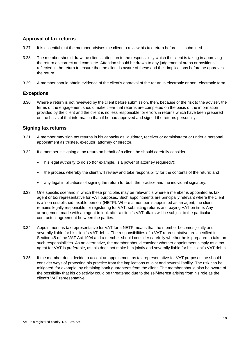# **Approval of tax returns**

- 3.27. It is essential that the member advises the client to review his tax return before it is submitted.
- 3.28. The member should draw the client's attention to the responsibility which the client is taking in approving the return as correct and complete. Attention should be drawn to any judgemental areas or positions reflected in the return to ensure that the client is aware of these and their implications before he approves the return.
- 3.29. A member should obtain evidence of the client's approval of the return in electronic or non- electronic form.

# **Exceptions**

3.30. Where a return is not reviewed by the client before submission, then, because of the risk to the adviser, the terms of the engagement should make clear that returns are completed on the basis of the information provided by the client and the client is no less responsible for errors in returns which have been prepared on the basis of that information than if he had approved and signed the returns personally.

# **Signing tax returns**

- 3.31. A member may sign tax returns in his capacity as liquidator, receiver or administrator or under a personal appointment as trustee, executor, attorney or director.
- 3.32. If a member is signing a tax return on behalf of a client, he should carefully consider:
	- his legal authority to do so (for example, is a power of attorney required?);
	- the process whereby the client will review and take responsibility for the contents of the return; and
	- any legal implications of signing the return for both the practice and the individual signatory.
- 3.33. One specific scenario in which these principles may be relevant is where a member is appointed as tax agent or tax representative for VAT purposes. Such appointments are principally relevant where the client is a 'non established taxable person' (NETP). Where a member is appointed as an agent, the client remains legally responsible for registering for VAT, submitting returns and paying VAT on time. Any arrangement made with an agent to look after a client's VAT affairs will be subject to the particular contractual agreement between the parties.
- 3.34. Appointment as tax representative for VAT for a NETP means that the member becomes jointly and severally liable for his client's VAT debts. The responsibilities of a VAT representative are specified in Section 48 of the VAT Act 1994 and a member should consider carefully whether he is prepared to take on such responsibilities. As an alternative, the member should consider whether appointment simply as a tax agent for VAT is preferable, as this does not make him jointly and severally liable for his client's VAT debts.
- 3.35. If the member does decide to accept an appointment as tax representative for VAT purposes, he should consider ways of protecting his practice from the implications of joint and several liability. The risk can be mitigated, for example, by obtaining bank guarantees from the client. The member should also be aware of the possibility that his objectivity could be threatened due to the self-interest arising from his role as the client's VAT representative.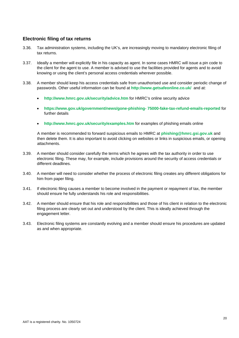# **Electronic filing of tax returns**

- 3.36. Tax administration systems, including the UK's, are increasingly moving to mandatory electronic filing of tax returns.
- 3.37. Ideally a member will explicitly file in his capacity as agent. In some cases HMRC will issue a pin code to the client for the agent to use. A member is advised to use the facilities provided for agents and to avoid knowing or using the client's personal access credentials wherever possible.
- 3.38. A member should keep his access credentials safe from unauthorised use and consider periodic change of passwords. Other useful information can be found at **http://www.getsafeonline.co.uk/** and at:
	- **http://www.hmrc.gov.uk/security/advice.htm** for HMRC's online security advice
	- **https://www.gov.uk/government/news/gone-phishing- 75000-fake-tax-refund-emails-reported** for further details
	- **http://www.hmrc.gov.uk/security/examples.htm** for examples of phishing emails online

A member is recommended to forward suspicious emails to HMRC at **phishing@hmrc.gsi.gov.uk** and then delete them. It is also important to avoid clicking on websites or links in suspicious emails, or opening attachments.

- 3.39. A member should consider carefully the terms which he agrees with the tax authority in order to use electronic filing. These may, for example, include provisions around the security of access credentials or different deadlines.
- 3.40. A member will need to consider whether the process of electronic filing creates any different obligations for him from paper filing.
- 3.41. If electronic filing causes a member to become involved in the payment or repayment of tax, the member should ensure he fully understands his role and responsibilities.
- 3.42. A member should ensure that his role and responsibilities and those of his client in relation to the electronic filing process are clearly set out and understood by the client. This is ideally achieved through the engagement letter.
- 3.43. Electronic filing systems are constantly evolving and a member should ensure his procedures are updated as and when appropriate.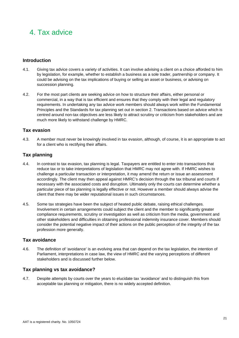# 4. Tax advice

# **Introduction**

- 4.1. Giving tax advice covers a variety of activities. It can involve advising a client on a choice afforded to him by legislation, for example, whether to establish a business as a sole trader, partnership or company. It could be advising on the tax implications of buying or selling an asset or business, or advising on succession planning.
- 4.2. For the most part clients are seeking advice on how to structure their affairs, either personal or commercial, in a way that is tax efficient and ensures that they comply with their legal and regulatory requirements. In undertaking any tax advice work members should always work within the Fundamental Principles and the Standards for tax planning set out in section 2. Transactions based on advice which is centred around non-tax objectives are less likely to attract scrutiny or criticism from stakeholders and are much more likely to withstand challenge by HMRC.

# **Tax evasion**

4.3. A member must never be knowingly involved in tax evasion, although, of course, it is an appropriate to act for a client who is rectifying their affairs.

# **Tax planning**

- 4.4. In contrast to tax evasion, tax planning is legal. Taxpayers are entitled to enter into transactions that reduce tax or to take interpretations of legislation that HMRC may not agree with. If HMRC wishes to challenge a particular transaction or interpretation, it may amend the return or issue an assessment accordingly. The client may then appeal against HMRC's decision through the tax tribunal and courts if necessary with the associated costs and disruption. Ultimately only the courts can determine whether a particular piece of tax planning is legally effective or not. However a member should always advise the client that there may be wider reputational issues in such circumstances.
- 4.5. Some tax strategies have been the subject of heated public debate, raising ethical challenges. Involvement in certain arrangements could subject the client and the member to significantly greater compliance requirements, scrutiny or investigation as well as criticism from the media, government and other stakeholders and difficulties in obtaining professional indemnity insurance cover. Members should consider the potential negative impact of their actions on the public perception of the integrity of the tax profession more generally.

#### **Tax avoidance**

4.6. The definition of 'avoidance' is an evolving area that can depend on the tax legislation, the intention of Parliament, interpretations in case law, the view of HMRC and the varying perceptions of different stakeholders and is discussed further below.

# **Tax planning vs tax avoidance?**

4.7. Despite attempts by courts over the years to elucidate tax 'avoidance' and to distinguish this from acceptable tax planning or mitigation, there is no widely accepted definition.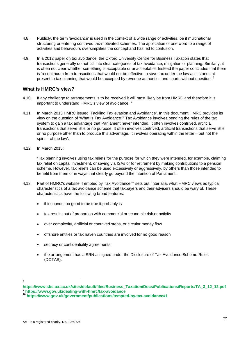- 4.8. Publicly, the term 'avoidance' is used in the context of a wide range of activities, be it multinational structuring or entering contrived tax-motivated schemes. The application of one word to a range of activities and behaviours oversimplifies the concept and has led to confusion.
- 4.9. In a 2012 paper on tax avoidance, the Oxford University Centre for Business Taxation states that transactions generally do not fall into clear categories of tax avoidance, mitigation or planning. Similarly, it is often not clear whether something is acceptable or unacceptable. Instead the paper concludes that there is 'a continuum from transactions that would not be effective to save tax under the law as it stands at present to tax planning that would be accepted by revenue authorities and courts without question.<sup>8</sup>

# **What is HMRC's view?**

- 4.10. If any challenge to arrangements is to be received it will most likely be from HMRC and therefore it is important to understand HMRC's view of avoidance. <sup>9</sup>
- 4.11. In March 2015 HMRC issued 'Tackling Tax evasion and Avoidance'. In this document HMRC provides its view on the question of 'What is Tax Avoidance?' Tax Avoidance involves bending the rules of the tax system to gain a tax advantage that Parliament never intended. It often involves contrived, artificial transactions that serve little or no purpose. It often involves contrived, artificial transactions that serve little or no purpose other than to produce this advantage. It involves operating within the letter – but not the spirit – of the law'.
- 4.12. In March 2015:

'Tax planning involves using tax reliefs for the purpose for which they were intended, for example, claiming tax relief on capital investment, or saving via ISAs or for retirement by making contributions to a pension scheme. However, tax reliefs can be used excessively or aggressively, by others than those intended to benefit from them or in ways that clearly go beyond the intention of Parliament'.

- 4.13. Part of HMRC's website 'Tempted by Tax Avoidance'<sup>10</sup> sets out, inter alia, what HMRC views as typical characteristics of a tax avoidance scheme that taxpayers and their advisers should be wary of. These characteristics have the following broad features:
	- if it sounds too good to be true it probably is
	- tax results out of proportion with commercial or economic risk or activity
	- over complexity, artificial or contrived steps, or circular money flow
	- offshore entities or tax haven countries are involved for no good reason
	- secrecy or confidentiality agreements
	- the arrangement has a SRN assigned under the Disclosure of Tax Avoidance Scheme Rules (DOTAS).

 8

**https://www.sbs.ox.ac.uk/sites/default/files/Business\_Taxation/Docs/Publications/Reports/TA\_3\_12\_12.pdf <sup>9</sup> https://www.gov.uk/dealing-with-hmrc/tax-avoidance**

**<sup>10</sup> https://www.gov.uk/government/publications/tempted-by-tax-avoidance#1**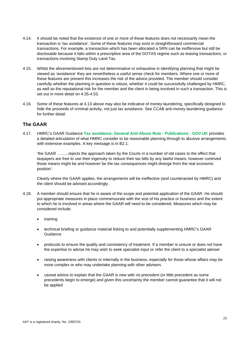- 4.14. It should be noted that the existence of one or more of these features does not necessarily mean the transaction is 'tax avoidance'. Some of these features may exist in straightforward commercial transactions. For example, a transaction which has been allocated a SRN can be inoffensive but still be disclosable because it falls within a prescriptive area of the DOTAS regime such as leasing transactions, or transactions involving Stamp Duty Land Tax.
- 4.15. Whilst the aforementioned lists are not determinative or exhaustive in identifying planning that might be viewed as 'avoidance' they are nevertheless a useful sense check for members. Where one or more of these features are present this increases the risk of the advice provided. The member should consider carefully whether the planning in question is robust, whether it could be successfully challenged by HMRC, as well as the reputational risk for the member and the client in being involved in such a transaction. This is set out in more detail on 4.35-4.53.
- 4.16. Some of these features at 4.13 above may also be indicative of money laundering, specifically designed to hide the proceeds of criminal activity, not just tax avoidance. See CCAB anti-money laundering guidance for further detail.

# **The GAAR**

4.17. HMRC's GAAR Guidance **Tax avoidance: General Anti-Abuse Rule - Publications - GOV.UK** provides a detailed articulation of what HMRC consider to be reasonable planning through to abusive arrangements, with extensive examples. A key message is in B2.1:

'the GAAR ……...rejects the approach taken by the Courts in a number of old cases to the effect that taxpayers are free to use their ingenuity to reduce their tax bills by any lawful means, however contrived those means might be and however far the tax consequences might diverge from the real economic position'.

Clearly where the GAAR applies, the arrangements will be ineffective (and counteracted by HMRC) and the client should be advised accordingly.

- 4.18. A member should ensure that he is aware of the scope and potential application of the GAAR. He should put appropriate measures in place commensurate with the size of his practice or business and the extent to which he is involved in areas where the GAAR will need to be considered. Measures which may be considered include:
	- training
	- technical briefing or guidance material linking to and potentially supplementing HMRC's GAAR Guidance
	- protocols to ensure the quality and consistency of treatment. If a member is unsure or does not have the expertise to advise he may wish to seek specialist input or refer the client to a specialist adviser
	- raising awareness with clients or internally in the business, especially for those whose affairs may be more complex or who may undertake planning with other advisers
	- caveat advice to explain that the GAAR is new with no precedent (or little precedent as some precedents begin to emerge) and given this uncertainty the member cannot guarantee that it will not be applied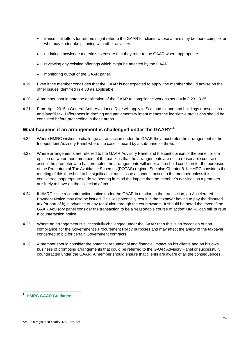- transmittal letters for returns might refer to the GAAR for clients whose affairs may be more complex or who may undertake planning with other advisers
- updating knowledge materials to ensure that they refer to the GAAR where appropriate
- reviewing any existing offerings which might be affected by the GAAR
- monitoring output of the GAAR panel.
- 4.19. Even if the member concludes that the GAAR is not expected to apply, the member should advise on the other issues identified in 4.38 as applicable.
- 4.20. A member should note the application of the GAAR to compliance work as set out in 3.23 3.25.
- 4.21. From April 2015 a General Anti- Avoidance Rule will apply in Scotland to land and buildings transactions and landfill tax. Differences in drafting and parliamentary intent means the legislative provisions should be consulted before proceeding in those areas.

# **What happens if an arrangement is challenged under the GAAR?11**

- 4.22. Where HMRC wishes to challenge a transaction under the GAAR they must refer the arrangement to the Independent Advisory Panel where the case is heard by a sub-panel of three.
- 4.23. Where arrangements are referred to the GAAR Advisory Panel and the joint opinion of the panel, or the opinion of two or more members of the panel, is that the arrangements are not 'a reasonable course of action' the promoter who has promoted the arrangements will meet a threshold condition for the purposes of the Promoters of Tax Avoidance Schemes (POTAS) regime. See also Chapter 8. If HMRC considers the meeting of this threshold to be significant it must issue a conduct notice to the member unless it is considered inappropriate to do so bearing in mind the impact that the member's activities as a promoter are likely to have on the collection of tax.
- 4.24. If HMRC issue a counteraction notice under the GAAR in relation to the transaction, an Accelerated Payment Notice may also be issued. This will potentially result in the taxpayer having to pay the disputed tax (or part of it) in advance of any resolution through the court system. It should be noted that even if the GAAR Advisory panel consider the transaction to be a 'reasonable course of action' HMRC can still pursue a counteraction notice.
- 4.25. Where an arrangement is successfully challenged under the GAAR then this is an 'occasion of noncompliance' for the Government's Procurement Policy purposes and may affect the ability of the taxpayer concerned to bid for certain Government contracts.
- 4.26. A member should consider the potential reputational and financial impact on his clients and on his own business of promoting arrangements that could be referred to the GAAR Advisory Panel or successfully counteracted under the GAAR. A member should ensure that clients are aware of all the consequences.

l

<sup>11</sup> **HMRC GAAR Guidance**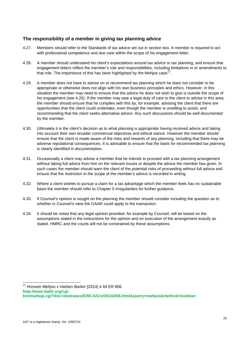# **The responsibility of a member in giving tax planning advice**

- 4.27. Members should refer to the Standards of tax advice set out in section two. A member is required to act with professional competence and due care within the scope of his engagement letter.
- 4.28. A member should understand his client's expectations around tax advice or tax planning, and ensure that engagement letters reflect the member's role and responsibilities, including limitations in or amendments to that role. The importance of this has been highlighted by the Mehioo case<sup>12</sup>.
- 4.29. A member does not have to advise on or recommend tax planning which he does not consider to be appropriate or otherwise does not align with his own business principles and ethics. However, in this situation the member may need to ensure that the advice he does not wish to give is outside the scope of his engagement (see 4.26). If the member may owe a legal duty of care to the client to advise in this area, the member should ensure that he complies with this by, for example, advising the client that there are opportunities that the client could undertake, even though the member is unwilling to assist, and recommending that the client seeks alternative advice. Any such discussions should be well documented by the member.
- 4.30. Ultimately it is the client's decision as to what planning is appropriate having received advice and taking into account their own broader commercial objectives and ethical stance. However the member should ensure that the client is made aware of the risks and rewards of any planning, including that there may be adverse reputational consequences. It is advisable to ensure that the basis for recommended tax planning is clearly identified in documentation.
- 4.31. Occasionally a client may advise a member that he intends to proceed with a tax planning arrangement without taking full advice from him on the relevant issues or despite the advice the member has given. In such cases the member should warn the client of the potential risks of proceeding without full advice and ensure that the restriction in the scope of the member's advice is recorded in writing.
- 4.32. Where a client wishes to pursue a claim for a tax advantage which the member feels has no sustainable basis the member should refer to Chapter 5 Irregularities for further guidance.
- 4.33. If Counsel's opinion is sought on the planning the member should consider including the question as to whether in Counsel's view the GAAR could apply to the transaction.
- 4.34. It should be noted that any legal opinion provided, for example by Counsel, will be based on the assumptions stated in the instructions for the opinion and on execution of the arrangement exactly as stated. HMRC and the courts will not be constrained by these assumptions.

l

<sup>12</sup> *Hossein Mehjoo v Harben Barker* [2014] 4 All ER 806. **http://www.bailii.org/cgibin/markup.cgi?doc=/ew/cases/EWCA/Civ/2014/358.html&query=mehjoo&method=boolean**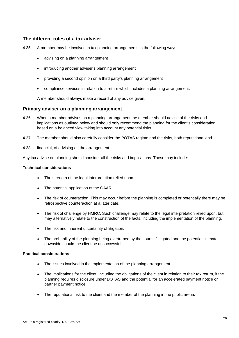# **The different roles of a tax adviser**

- 4.35. A member may be involved in tax planning arrangements in the following ways:
	- advising on a planning arrangement
	- introducing another adviser's planning arrangement
	- providing a second opinion on a third party's planning arrangement
	- compliance services in relation to a return which includes a planning arrangement.

A member should always make a record of any advice given.

#### **Primary adviser on a planning arrangement**

- 4.36. When a member advises on a planning arrangement the member should advise of the risks and implications as outlined below and should only recommend the planning for the client's consideration based on a balanced view taking into account any potential risks.
- 4.37. The member should also carefully consider the POTAS regime and the risks, both reputational and
- 4.38. financial, of advising on the arrangement.

Any tax advice on planning should consider all the risks and implications. These may include:

#### **Technical considerations**

- The strength of the legal interpretation relied upon.
- The potential application of the GAAR.
- The risk of counteraction. This may occur before the planning is completed or potentially there may be retrospective counteraction at a later date.
- The risk of challenge by HMRC. Such challenge may relate to the legal interpretation relied upon, but may alternatively relate to the construction of the facts, including the implementation of the planning.
- The risk and inherent uncertainty of litigation.
- The probability of the planning being overturned by the courts if litigated and the potential ultimate downside should the client be unsuccessful.

#### **Practical considerations**

- The issues involved in the implementation of the planning arrangement.
- The implications for the client, including the obligations of the client in relation to their tax return, if the planning requires disclosure under DOTAS and the potential for an accelerated payment notice or partner payment notice.
- The reputational risk to the client and the member of the planning in the public arena.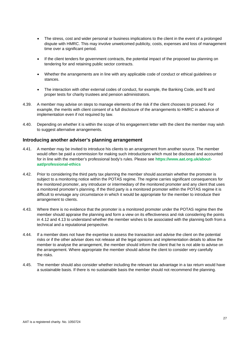- The stress, cost and wider personal or business implications to the client in the event of a prolonged dispute with HMRC. This may involve unwelcomed publicity, costs, expenses and loss of management time over a significant period.
- If the client tenders for government contracts, the potential impact of the proposed tax planning on tendering for and retaining public sector contracts.
- Whether the arrangements are in line with any applicable code of conduct or ethical guidelines or stances.
- The interaction with other external codes of conduct, for example, the Banking Code, and fit and proper tests for charity trustees and pension administrators.
- 4.39. A member may advise on steps to manage elements of the risk if the client chooses to proceed. For example, the merits with client consent of a full disclosure of the arrangements to HMRC in advance of implementation even if not required by law.
- 4.40. Depending on whether it is within the scope of his engagement letter with the client the member may wish to suggest alternative arrangements.

#### **Introducing another adviser's planning arrangement**

- 4.41. A member may be invited to introduce his clients to an arrangement from another source. The member would often be paid a commission for making such introductions which must be disclosed and accounted for in line with the member's professional body's rules. Please see **https://www.aat.org.uk/aboutaat/professional-ethics**
- 4.42. Prior to considering the third party tax planning the member should ascertain whether the promoter is subject to a monitoring notice within the POTAS regime. The regime carries significant consequences for the monitored promoter, any introducer or intermediary of the monitored promoter and any client that uses a monitored promoter's planning. If the third party is a monitored promoter within the POTAS regime it is difficult to envisage any circumstance in which it would be appropriate for the member to introduce their arrangement to clients.
- 4.43. Where there is no evidence that the promoter is a monitored promoter under the POTAS regime then the member should appraise the planning and form a view on its effectiveness and risk considering the points in 4.12 and 4.13 to understand whether the member wishes to be associated with the planning both from a technical and a reputational perspective.
- 4.44. If a member does not have the expertise to assess the transaction and advise the client on the potential risks or if the other adviser does not release all the legal opinions and implementation details to allow the member to analyse the arrangement, the member should inform the client that he is not able to advise on the arrangement. Where appropriate the member should advise the client to consider very carefully the risks.
- 4.45. The member should also consider whether including the relevant tax advantage in a tax return would have a sustainable basis. If there is no sustainable basis the member should not recommend the planning.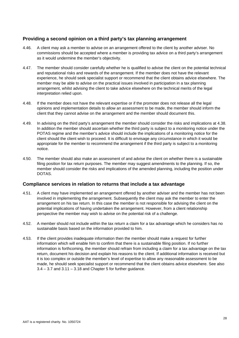# **Providing a second opinion on a third party's tax planning arrangement**

- 4.46. A client may ask a member to advise on an arrangement offered to the client by another adviser. No commissions should be accepted where a member is providing tax advice on a third party's arrangement as it would undermine the member's objectivity.
- 4.47. The member should consider carefully whether he is qualified to advise the client on the potential technical and reputational risks and rewards of the arrangement. If the member does not have the relevant experience, he should seek specialist support or recommend that the client obtains advice elsewhere. The member may be able to advise on the practical issues involved in participation in a tax planning arrangement, whilst advising the client to take advice elsewhere on the technical merits of the legal interpretation relied upon.
- 4.48. If the member does not have the relevant expertise or if the promoter does not release all the legal opinions and implementation details to allow an assessment to be made, the member should inform the client that they cannot advise on the arrangement and the member should document this.
- 4.49. In advising on the third party's arrangement the member should consider the risks and implications at 4.38. In addition the member should ascertain whether the third party is subject to a monitoring notice under the POTAS regime and the member's advice should include the implications of a monitoring notice for the client should the client wish to proceed. It is difficult to envisage any circumstance in which it would be appropriate for the member to recommend the arrangement if the third party is subject to a monitoring notice.
- 4.50. The member should also make an assessment of and advise the client on whether there is a sustainable filing position for tax return purposes. The member may suggest amendments to the planning. If so, the member should consider the risks and implications of the amended planning, including the position under DOTAS.

# **Compliance services in relation to returns that include a tax advantage**

- 4.51. A client may have implemented an arrangement offered by another adviser and the member has not been involved in implementing the arrangement. Subsequently the client may ask the member to enter the arrangement on his tax return. In this case the member is not responsible for advising the client on the potential implications of having undertaken the arrangement. However, from a client relationship perspective the member may wish to advise on the potential risk of a challenge.
- 4.52. A member should not include within the tax return a claim for a tax advantage which he considers has no sustainable basis based on the information provided to him.
- 4.53. If the client provides inadequate information then the member should make a request for further information which will enable him to confirm that there is a sustainable filing position. If no further information is forthcoming, the member should refrain from including a claim for a tax advantage on the tax return, document his decision and explain his reasons to the client. If additional information is received but it is too complex or outside the member's level of expertise to allow any reasonable assessment to be made, he should seek specialist support or recommend that the client obtains advice elsewhere. See also  $3.4 - 3.7$  and  $3.11 - 3.18$  and Chapter 5 for further guidance.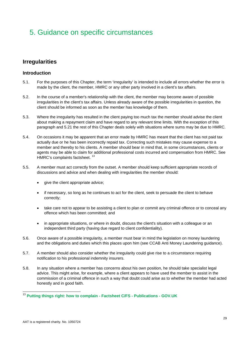# 5. Guidance on specific circumstances

# **Irregularities**

# **Introduction**

- 5.1. For the purposes of this Chapter, the term 'irregularity' is intended to include all errors whether the error is made by the client, the member, HMRC or any other party involved in a client's tax affairs.
- 5.2. In the course of a member's relationship with the client, the member may become aware of possible irregularities in the client's tax affairs. Unless already aware of the possible irregularities in question, the client should be informed as soon as the member has knowledge of them.
- 5.3. Where the irregularity has resulted in the client paying too much tax the member should advise the client about making a repayment claim and have regard to any relevant time limits. With the exception of this paragraph and 5.21 the rest of this Chapter deals solely with situations where sums may be due to HMRC.
- 5.4. On occasions it may be apparent that an error made by HMRC has meant that the client has not paid tax actually due or he has been incorrectly repaid tax. Correcting such mistakes may cause expense to a member and thereby to his clients. A member should bear in mind that, in some circumstances, clients or agents may be able to claim for additional professional costs incurred and compensation from HMRC. See HMRC's complaints factsheet.<sup>13</sup>
- 5.5. A member must act correctly from the outset. A member should keep sufficient appropriate records of discussions and advice and when dealing with irregularities the member should:
	- give the client appropriate advice;
	- if necessary, so long as he continues to act for the client, seek to persuade the client to behave correctly;
	- take care not to appear to be assisting a client to plan or commit any criminal offence or to conceal any offence which has been committed; and
	- in appropriate situations, or where in doubt, discuss the client's situation with a colleague or an independent third party (having due regard to client confidentiality).
- 5.6. Once aware of a possible irregularity, a member must bear in mind the legislation on money laundering and the obligations and duties which this places upon him (see CCAB Anti Money Laundering guidance).
- 5.7. A member should also consider whether the irregularity could give rise to a circumstance requiring notification to his professional indemnity insurers.
- 5.8. In any situation where a member has concerns about his own position, he should take specialist legal advice. This might arise, for example, where a client appears to have used the member to assist in the commission of a criminal offence in such a way that doubt could arise as to whether the member had acted honestly and in good faith.

l <sup>13</sup> **Putting things right: how to complain - Factsheet C/FS - Publications - GOV.UK**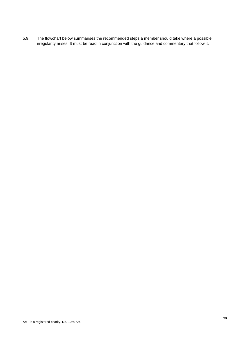5.9. The flowchart below summarises the recommended steps a member should take where a possible irregularity arises. It must be read in conjunction with the guidance and commentary that follow it.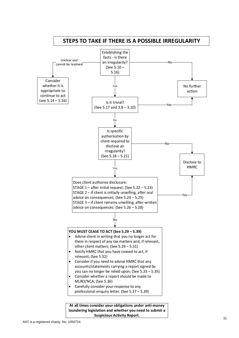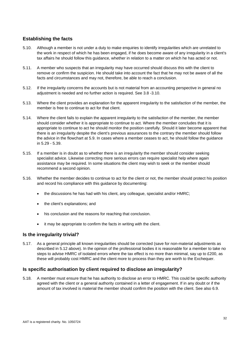# **Establishing the facts**

- 5.10. Although a member is not under a duty to make enquiries to identify irregularities which are unrelated to the work in respect of which he has been engaged, if he does become aware of any irregularity in a client's tax affairs he should follow this guidance, whether in relation to a matter on which he has acted or not.
- 5.11. A member who suspects that an irregularity may have occurred should discuss this with the client to remove or confirm the suspicion. He should take into account the fact that he may not be aware of all the facts and circumstances and may not, therefore, be able to reach a conclusion.
- 5.12. If the irregularity concerns the accounts but is not material from an accounting perspective in general no adjustment is needed and no further action is required. See 3.8 -3.10.
- 5.13. Where the client provides an explanation for the apparent irregularity to the satisfaction of the member, the member is free to continue to act for that client.
- 5.14. Where the client fails to explain the apparent irregularity to the satisfaction of the member, the member should consider whether it is appropriate to continue to act. Where the member concludes that it is appropriate to continue to act he should monitor the position carefully. Should it later become apparent that there is an irregularity despite the client's previous assurances to the contrary the member should follow the advice in the flowchart at 5.9. In cases where a member ceases to act, he should follow the guidance in 5.29 - 5.39.
- 5.15. If a member is in doubt as to whether there is an irregularity the member should consider seeking specialist advice. Likewise correcting more serious errors can require specialist help where again assistance may be required. In some situations the client may wish to seek or the member should recommend a second opinion.
- 5.16. Whether the member decides to continue to act for the client or not, the member should protect his position and record his compliance with this guidance by documenting:
	- the discussions he has had with his client, any colleague, specialist and/or HMRC;
	- the client's explanations; and
	- his conclusion and the reasons for reaching that conclusion.
	- it may be appropriate to confirm the facts in writing with the client.

# **Is the irregularity trivial?**

5.17. As a general principle all known irregularities should be corrected (save for non-material adjustments as described in 5.12 above). In the opinion of the professional bodies it is reasonable for a member to take no steps to advise HMRC of isolated errors where the tax effect is no more than minimal, say up to £200, as these will probably cost HMRC and the client more to process than they are worth to the Exchequer.

# **Is specific authorisation by client required to disclose an irregularity?**

5.18. A member must ensure that he has authority to disclose an error to HMRC. This could be specific authority agreed with the client or a general authority contained in a letter of engagement. If in any doubt or if the amount of tax involved is material the member should confirm the position with the client. See also 6.9.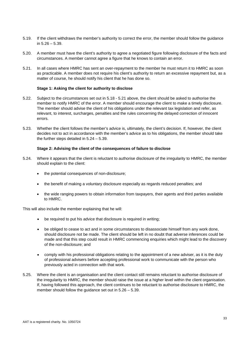- 5.19. If the client withdraws the member's authority to correct the error, the member should follow the guidance in 5.26 – 5.39.
- 5.20. A member must have the client's authority to agree a negotiated figure following disclosure of the facts and circumstances. A member cannot agree a figure that he knows to contain an error.
- 5.21. In all cases where HMRC has sent an over-repayment to the member he must return it to HMRC as soon as practicable. A member does not require his client's authority to return an excessive repayment but, as a matter of course, he should notify his client that he has done so.

#### **Stage 1: Asking the client for authority to disclose**

- 5.22. Subject to the circumstances set out in 5.18 5.21 above, the client should be asked to authorise the member to notify HMRC of the error. A member should encourage the client to make a timely disclosure. The member should advise the client of his obligations under the relevant tax legislation and refer, as relevant, to interest, surcharges, penalties and the rules concerning the delayed correction of innocent errors.
- 5.23. Whether the client follows the member's advice is, ultimately, the client's decision. If, however, the client decides not to act in accordance with the member's advice as to his obligations, the member should take the further steps detailed in 5.24 – 5.39.

#### **Stage 2: Advising the client of the consequences of failure to disclose**

- 5.24. Where it appears that the client is reluctant to authorise disclosure of the irregularity to HMRC, the member should explain to the client:
	- the potential consequences of non-disclosure;
	- the benefit of making a voluntary disclosure especially as regards reduced penalties; and
	- the wide ranging powers to obtain information from taxpayers, their agents and third parties available to HMRC.

This will also include the member explaining that he will:

- be required to put his advice that disclosure is required in writing;
- be obliged to cease to act and in some circumstances to disassociate himself from any work done, should disclosure not be made. The client should be left in no doubt that adverse inferences could be made and that this step could result in HMRC commencing enquiries which might lead to the discovery of the non-disclosure; and
- comply with his professional obligations relating to the appointment of a new adviser, as it is the duty of professional advisers before accepting professional work to communicate with the person who previously acted in connection with that work.
- 5.25. Where the client is an organisation and the client contact still remains reluctant to authorise disclosure of the irregularity to HMRC, the member should raise the issue at a higher level within the client organisation. If, having followed this approach, the client continues to be reluctant to authorise disclosure to HMRC, the member should follow the guidance set out in 5.26 – 5.39.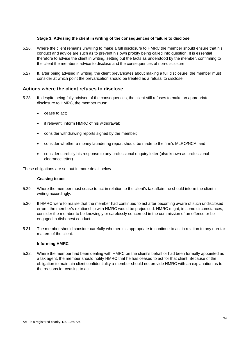#### **Stage 3: Advising the client in writing of the consequences of failure to disclose**

- 5.26. Where the client remains unwilling to make a full disclosure to HMRC the member should ensure that his conduct and advice are such as to prevent his own probity being called into question. It is essential therefore to advise the client in writing, setting out the facts as understood by the member, confirming to the client the member's advice to disclose and the consequences of non-disclosure.
- 5.27. If, after being advised in writing, the client prevaricates about making a full disclosure, the member must consider at which point the prevarication should be treated as a refusal to disclose.

# **Actions where the client refuses to disclose**

- 5.28. If, despite being fully advised of the consequences, the client still refuses to make an appropriate disclosure to HMRC, the member must:
	- cease to act;
	- if relevant, inform HMRC of his withdrawal;
	- consider withdrawing reports signed by the member;
	- consider whether a money laundering report should be made to the firm's MLRO/NCA; and
	- consider carefully his response to any professional enquiry letter (also known as professional clearance letter).

These obligations are set out in more detail below.

#### **Ceasing to act**

- 5.29. Where the member must cease to act in relation to the client's tax affairs he should inform the client in writing accordingly.
- 5.30. If HMRC were to realise that the member had continued to act after becoming aware of such undisclosed errors, the member's relationship with HMRC would be prejudiced. HMRC might, in some circumstances, consider the member to be knowingly or carelessly concerned in the commission of an offence or be engaged in dishonest conduct.
- 5.31. The member should consider carefully whether it is appropriate to continue to act in relation to any non-tax matters of the client.

#### **Informing HMRC**

5.32. Where the member had been dealing with HMRC on the client's behalf or had been formally appointed as a tax agent, the member should notify HMRC that he has ceased to act for that client. Because of the obligation to maintain client confidentiality a member should not provide HMRC with an explanation as to the reasons for ceasing to act.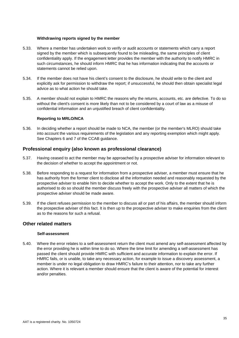#### **Withdrawing reports signed by the member**

- 5.33. Where a member has undertaken work to verify or audit accounts or statements which carry a report signed by the member which is subsequently found to be misleading, the same principles of client confidentiality apply. If the engagement letter provides the member with the authority to notify HMRC in such circumstances, he should inform HMRC that he has information indicating that the accounts or statements cannot be relied upon.
- 5.34. If the member does not have his client's consent to the disclosure, he should write to the client and explicitly ask for permission to withdraw the report; if unsuccessful, he should then obtain specialist legal advice as to what action he should take.
- 5.35. A member should not explain to HMRC the reasons why the returns, accounts, etc. are defective. To do so without the client's consent is more likely than not to be considered by a court of law as a misuse of confidential information and an unjustified breach of client confidentiality.

#### **Reporting to MRLO/NCA**

5.36. In deciding whether a report should be made to NCA, the member (or the member's MLRO) should take into account the various requirements of the legislation and any reporting exemption which might apply. See Chapters 6 and 7 of the CCAB guidance.

# **Professional enquiry (also known as professional clearance)**

- 5.37. Having ceased to act the member may be approached by a prospective adviser for information relevant to the decision of whether to accept the appointment or not.
- 5.38. Before responding to a request for information from a prospective adviser, a member must ensure that he has authority from the former client to disclose all the information needed and reasonably requested by the prospective adviser to enable him to decide whether to accept the work. Only to the extent that he is authorised to do so should the member discuss freely with the prospective adviser all matters of which the prospective adviser should be made aware.
- 5.39. If the client refuses permission to the member to discuss all or part of his affairs, the member should inform the prospective adviser of this fact. It is then up to the prospective adviser to make enquiries from the client as to the reasons for such a refusal.

#### **Other related matters**

#### **Self-assessment**

5.40. Where the error relates to a self-assessment return the client must amend any self-assessment affected by the error providing he is within time to do so. Where the time limit for amending a self-assessment has passed the client should provide HMRC with sufficient and accurate information to explain the error. If HMRC fails, or is unable, to take any necessary action, for example to issue a discovery assessment, a member is under no legal obligation to draw HMRC's failure to their attention, nor to take any further action. Where it is relevant a member should ensure that the client is aware of the potential for interest and/or penalties.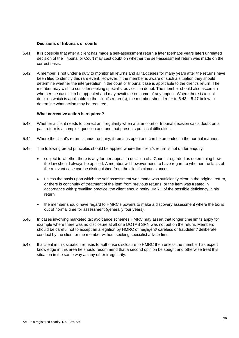#### **Decisions of tribunals or courts**

- 5.41. It is possible that after a client has made a self-assessment return a later (perhaps years later) unrelated decision of the Tribunal or Court may cast doubt on whether the self-assessment return was made on the correct basis.
- 5.42. A member is not under a duty to monitor all returns and all tax cases for many years after the returns have been filed to identify this rare event. However, if the member is aware of such a situation they should determine whether the interpretation in the court or tribunal case is applicable to the client's return. The member may wish to consider seeking specialist advice if in doubt. The member should also ascertain whether the case is to be appealed and may await the outcome of any appeal. Where there is a final decision which is applicable to the client's return(s), the member should refer to 5.43 – 5.47 below to determine what action may be required.

#### **What corrective action is required?**

- 5.43. Whether a client needs to correct an irregularity when a later court or tribunal decision casts doubt on a past return is a complex question and one that presents practical difficulties.
- 5.44. Where the client's return is under enquiry, it remains open and can be amended in the normal manner.
- 5.45. The following broad principles should be applied where the client's return is not under enquiry:
	- subject to whether there is any further appeal, a decision of a Court is regarded as determining how the law should always be applied. A member will however need to have regard to whether the facts of the relevant case can be distinguished from the client's circumstances
	- unless the basis upon which the self-assessment was made was sufficiently clear in the original return, or there is continuity of treatment of the item from previous returns, or the item was treated in accordance with 'prevailing practice' the client should notify HMRC of the possible deficiency in his return
	- the member should have regard to HMRC's powers to make a discovery assessment where the tax is out of normal time for assessment (generally four years).
- 5.46. In cases involving marketed tax avoidance schemes HMRC may assert that longer time limits apply for example where there was no disclosure at all or a DOTAS SRN was not put on the return. Members should be careful not to accept an allegation by HMRC of negligent/ careless or fraudulent/ deliberate conduct by the client or the member without seeking specialist advice first.
- 5.47. If a client in this situation refuses to authorise disclosure to HMRC then unless the member has expert knowledge in this area he should recommend that a second opinion be sought and otherwise treat this situation in the same way as any other irregularity.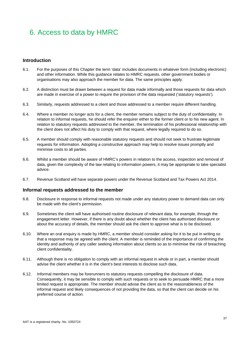# 6. Access to data by HMRC

# **Introduction**

- 6.1. For the purposes of this Chapter the term 'data' includes documents in whatever form (including electronic) and other information. While this guidance relates to HMRC requests, other government bodies or organisations may also approach the member for data. The same principles apply.
- 6.2. A distinction must be drawn between a request for data made informally and those requests for data which are made in exercise of a power to require the provision of the data requested ('statutory requests').
- 6.3. Similarly, requests addressed to a client and those addressed to a member require different handling.
- 6.4. Where a member no longer acts for a client, the member remains subject to the duty of confidentiality. In relation to informal requests, he should refer the enquirer either to the former client or to his new agent. In relation to statutory requests addressed to the member, the termination of his professional relationship with the client does not affect his duty to comply with that request, where legally required to do so.
- 6.5. A member should comply with reasonable statutory requests and should not seek to frustrate legitimate requests for information. Adopting a constructive approach may help to resolve issues promptly and minimise costs to all parties.
- 6.6. Whilst a member should be aware of HMRC's powers in relation to the access, inspection and removal of data, given the complexity of the law relating to information powers, it may be appropriate to take specialist advice.
- 6.7. Revenue Scotland will have separate powers under the Revenue Scotland and Tax Powers Act 2014.

#### **Informal requests addressed to the member**

- 6.8. Disclosure in response to informal requests not made under any statutory power to demand data can only be made with the client's permission.
- 6.9. Sometimes the client will have authorised routine disclosure of relevant data, for example, through the engagement letter. However, if there is any doubt about whether the client has authorised disclosure or about the accuracy of details, the member should ask the client to approve what is to be disclosed.
- 6.10. Where an oral enquiry is made by HMRC, a member should consider asking for it to be put in writing so that a response may be agreed with the client. A member is reminded of the importance of confirming the identity and authority of any caller seeking information about clients so as to minimise the risk of breaching client confidentiality.
- 6.11. Although there is no obligation to comply with an informal request in whole or in part, a member should advise the client whether it is in the client's best interests to disclose such data.
- 6.12. Informal members may be forerunners to statutory requests compelling the disclosure of data. Consequently, it may be sensible to comply with such requests or to seek to persuade HMRC that a more limited request is appropriate. The member should advise the client as to the reasonableness of the informal request and likely consequences of not providing the data, so that the client can decide on his preferred course of action.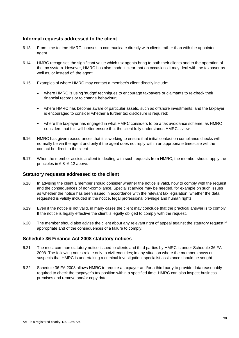# **Informal requests addressed to the client**

- 6.13. From time to time HMRC chooses to communicate directly with clients rather than with the appointed agent.
- 6.14. HMRC recognises the significant value which tax agents bring to both their clients and to the operation of the tax system. However, HMRC has also made it clear that on occasions it may deal with the taxpayer as well as, or instead of, the agent.
- 6.15. Examples of where HMRC may contact a member's client directly include:
	- where HMRC is using 'nudge' techniques to encourage taxpayers or claimants to re-check their financial records or to change behaviour;
	- where HMRC has become aware of particular assets, such as offshore investments, and the taxpayer is encouraged to consider whether a further tax disclosure is required;
	- where the taxpayer has engaged in what HMRC considers to be a tax avoidance scheme, as HMRC considers that this will better ensure that the client fully understands HMRC's view.
- 6.16. HMRC has given reassurances that it is working to ensure that initial contact on compliance checks will normally be via the agent and only if the agent does not reply within an appropriate timescale will the contact be direct to the client.
- 6.17. When the member assists a client in dealing with such requests from HMRC, the member should apply the principles in 6.8 -6.12 above.

# **Statutory requests addressed to the client**

- 6.18. In advising the client a member should consider whether the notice is valid, how to comply with the request and the consequences of non-compliance. Specialist advice may be needed, for example on such issues as whether the notice has been issued in accordance with the relevant tax legislation, whether the data requested is validly included in the notice, legal professional privilege and human rights.
- 6.19. Even if the notice is not valid, in many cases the client may conclude that the practical answer is to comply. If the notice is legally effective the client is legally obliged to comply with the request.
- 6.20. The member should also advise the client about any relevant right of appeal against the statutory request if appropriate and of the consequences of a failure to comply.

# **Schedule 36 Finance Act 2008 statutory notices**

- 6.21. The most common statutory notice issued to clients and third parties by HMRC is under Schedule 36 FA 2008. The following notes relate only to civil enquiries; in any situation where the member knows or suspects that HMRC is undertaking a criminal investigation, specialist assistance should be sought.
- 6.22. Schedule 36 FA 2008 allows HMRC to require a taxpayer and/or a third party to provide data reasonably required to check the taxpayer's tax position within a specified time. HMRC can also inspect business premises and remove and/or copy data.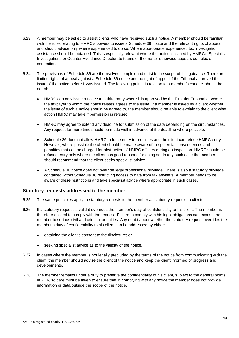- 6.23. A member may be asked to assist clients who have received such a notice. A member should be familiar with the rules relating to HMRC's powers to issue a Schedule 36 notice and the relevant rights of appeal and should advise only where experienced to do so. Where appropriate, experienced tax investigation assistance should be obtained. This is especially relevant where the notice is issued by HMRC's Specialist Investigations or Counter Avoidance Directorate teams or the matter otherwise appears complex or contentious.
- 6.24. The provisions of Schedule 36 are themselves complex and outside the scope of this guidance. There are limited rights of appeal against a Schedule 36 notice and no right of appeal if the Tribunal approved the issue of the notice before it was issued. The following points in relation to a member's conduct should be noted:
	- HMRC can only issue a notice to a third party where it is approved by the First-tier Tribunal or where the taxpayer to whom the notice relates agrees to the issue. If a member is asked by a client whether the issue of such a notice should be agreed to, the member should be able to explain to the client what action HMRC may take if permission is refused.
	- HMRC may agree to extend any deadline for submission of the data depending on the circumstances. Any request for more time should be made well in advance of the deadline where possible.
	- Schedule 36 does not allow HMRC to force entry to premises and the client can refuse HMRC entry. However, where possible the client should be made aware of the potential consequences and penalties that can be charged for obstruction of HMRC officers during an inspection. HMRC should be refused entry only where the client has good reasons for doing so. In any such case the member should recommend that the client seeks specialist advice.
	- A Schedule 36 notice does not override legal professional privilege. There is also a statutory privilege contained within Schedule 36 restricting access to data from tax advisers. A member needs to be aware of these restrictions and take specialist advice where appropriate in such cases.

# **Statutory requests addressed to the member**

- 6.25. The same principles apply to statutory requests to the member as statutory requests to clients.
- 6.26. If a statutory request is valid it overrides the member's duty of confidentiality to his client. The member is therefore obliged to comply with the request. Failure to comply with his legal obligations can expose the member to serious civil and criminal penalties. Any doubt about whether the statutory request overrides the member's duty of confidentiality to his client can be addressed by either:
	- obtaining the client's consent to the disclosure; or
	- seeking specialist advice as to the validity of the notice.
- 6.27. In cases where the member is not legally precluded by the terms of the notice from communicating with the client, the member should advise the client of the notice and keep the client informed of progress and developments.
- 6.28. The member remains under a duty to preserve the confidentiality of his client, subject to the general points in 2.16, so care must be taken to ensure that in complying with any notice the member does not provide information or data outside the scope of the notice.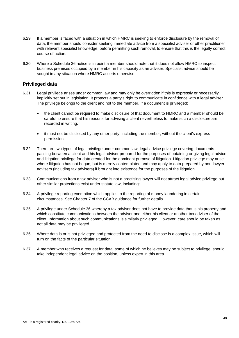- 6.29. If a member is faced with a situation in which HMRC is seeking to enforce disclosure by the removal of data, the member should consider seeking immediate advice from a specialist adviser or other practitioner with relevant specialist knowledge, before permitting such removal, to ensure that this is the legally correct course of action.
- 6.30. Where a Schedule 36 notice is in point a member should note that it does not allow HMRC to inspect business premises occupied by a member in his capacity as an adviser. Specialist advice should be sought in any situation where HMRC asserts otherwise.

# **Privileged data**

- 6.31. Legal privilege arises under common law and may only be overridden if this is expressly or necessarily implicitly set out in legislation. It protects a party's right to communicate in confidence with a legal adviser. The privilege belongs to the client and not to the member. If a document is privileged:
	- the client cannot be required to make disclosure of that document to HMRC and a member should be careful to ensure that his reasons for advising a client nevertheless to make such a disclosure are recorded in writing.
	- it must not be disclosed by any other party, including the member, without the client's express permission.
- 6.32. There are two types of legal privilege under common law, legal advice privilege covering documents passing between a client and his legal adviser prepared for the purposes of obtaining or giving legal advice and litigation privilege for data created for the dominant purpose of litigation. Litigation privilege may arise where litigation has not begun, but is merely contemplated and may apply to data prepared by non-lawyer advisers (including tax advisers) if brought into existence for the purposes of the litigation.
- 6.33. Communications from a tax adviser who is not a practising lawyer will not attract legal advice privilege but other similar protections exist under statute law, including:
- 6.34. A privilege reporting exemption which applies to the reporting of money laundering in certain circumstances. See Chapter 7 of the CCAB guidance for further details.
- 6.35. A privilege under Schedule 36 whereby a tax adviser does not have to provide data that is his property and which constitute communications between the adviser and either his client or another tax adviser of the client. Information about such communications is similarly privileged. However, care should be taken as not all data may be privileged.
- 6.36. Where data is or is not privileged and protected from the need to disclose is a complex issue, which will turn on the facts of the particular situation.
- 6.37. A member who receives a request for data, some of which he believes may be subject to privilege, should take independent legal advice on the position, unless expert in this area.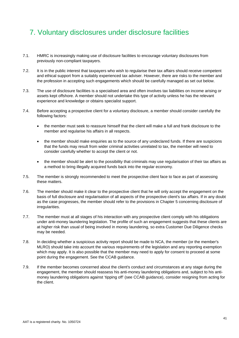# 7. Voluntary disclosures under disclosure facilities

- 7.1. HMRC is increasingly making use of disclosure facilities to encourage voluntary disclosures from previously non-compliant taxpayers.
- 7.2. It is in the public interest that taxpayers who wish to regularise their tax affairs should receive competent and ethical support from a suitably experienced tax adviser. However, there are risks to the member and the profession in accepting such engagements which should be carefully managed as set out below.
- 7.3. The use of disclosure facilities is a specialised area and often involves tax liabilities on income arising or assets kept offshore. A member should not undertake this type of activity unless he has the relevant experience and knowledge or obtains specialist support.
- 7.4. Before accepting a prospective client for a voluntary disclosure, a member should consider carefully the following factors:
	- the member must seek to reassure himself that the client will make a full and frank disclosure to the member and regularise his affairs in all respects.
	- the member should make enquiries as to the source of any undeclared funds. If there are suspicions that the funds may result from wider criminal activities unrelated to tax, the member will need to consider carefully whether to accept the client or not.
	- the member should be alert to the possibility that criminals may use regularisation of their tax affairs as a method to bring illegally acquired funds back into the regular economy.
- 7.5. The member is strongly recommended to meet the prospective client face to face as part of assessing these matters.
- 7.6. The member should make it clear to the prospective client that he will only accept the engagement on the basis of full disclosure and regularisation of all aspects of the prospective client's tax affairs. If in any doubt as the case progresses, the member should refer to the provisions in Chapter 5 concerning disclosure of irregularities.
- 7.7. The member must at all stages of his interaction with any prospective client comply with his obligations under anti-money laundering legislation. The profile of such an engagement suggests that these clients are at higher risk than usual of being involved in money laundering, so extra Customer Due Diligence checks may be needed.
- 7.8. In deciding whether a suspicious activity report should be made to NCA, the member (or the member's MLRO) should take into account the various requirements of the legislation and any reporting exemption which may apply. It is also possible that the member may need to apply for consent to proceed at some point during the engagement. See the CCAB guidance.
- 7.9. If the member becomes concerned about the client's conduct and circumstances at any stage during the engagement, the member should reassess his anti-money laundering obligations and, subject to his antimoney laundering obligations against 'tipping off' (see CCAB guidance), consider resigning from acting for the client.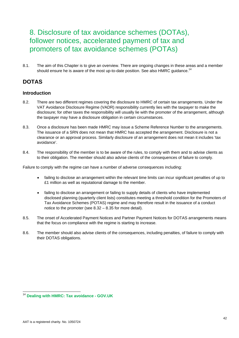# 8. Disclosure of tax avoidance schemes (DOTAs), follower notices, accelerated payment of tax and promoters of tax avoidance schemes (POTAs)

8.1. The aim of this Chapter is to give an overview. There are ongoing changes in these areas and a member should ensure he is aware of the most up-to-date position. See also HMRC guidance.<sup>14</sup>

# **DOTAS**

# **Introduction**

- 8.2. There are two different regimes covering the disclosure to HMRC of certain tax arrangements. Under the VAT Avoidance Disclosure Regime (VADR) responsibility currently lies with the taxpayer to make the disclosure; for other taxes the responsibility will usually lie with the promoter of the arrangement, although the taxpayer may have a disclosure obligation in certain circumstances.
- 8.3. Once a disclosure has been made HMRC may issue a Scheme Reference Number to the arrangements. The issuance of a SRN does not mean that HMRC has accepted the arrangement. Disclosure is not a clearance or an approval process. Similarly disclosure of an arrangement does not mean it includes 'tax avoidance'.
- 8.4. The responsibility of the member is to be aware of the rules, to comply with them and to advise clients as to their obligation. The member should also advise clients of the consequences of failure to comply.

Failure to comply with the regime can have a number of adverse consequences including:

- failing to disclose an arrangement within the relevant time limits can incur significant penalties of up to £1 million as well as reputational damage to the member.
- failing to disclose an arrangement or failing to supply details of clients who have implemented disclosed planning (quarterly client lists) constitutes meeting a threshold condition for the Promoters of Tax Avoidance Schemes (POTAS) regime and may therefore result in the issuance of a conduct notice to the promoter (see 8.32 – 8.35 for more detail).
- 8.5. The onset of Accelerated Payment Notices and Partner Payment Notices for DOTAS arrangements means that the focus on compliance with the regime is starting to increase.
- 8.6. The member should also advise clients of the consequences, including penalties, of failure to comply with their DOTAS obligations.

l

<sup>14</sup> **Dealing with HMRC: Tax avoidance - GOV.UK**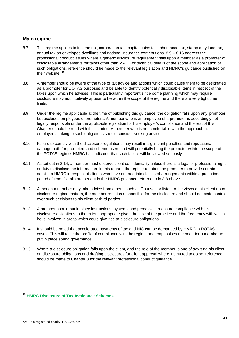# **Main regime**

- 8.7. This regime applies to income tax, corporation tax, capital gains tax, inheritance tax, stamp duty land tax, annual tax on enveloped dwellings and national insurance contributions. 8.9 – 8.16 address the professional conduct issues where a generic disclosure requirement falls upon a member as a promoter of disclosable arrangements for taxes other than VAT. For technical details of the scope and application of such obligations, reference should be made to the relevant legislation and HMRC's guidance published on their website.<sup>15</sup>
- 8.8. A member should be aware of the type of tax advice and actions which could cause them to be designated as a promoter for DOTAS purposes and be able to identify potentially disclosable items in respect of the taxes upon which he advises. This is particularly important since some planning which may require disclosure may not intuitively appear to be within the scope of the regime and there are very tight time limits.
- 8.9. Under the regime applicable at the time of publishing this guidance, the obligation falls upon any 'promoter' but excludes employees of promoters. A member who is an employee of a promoter is accordingly not legally responsible under the applicable legislation for his employer's compliance and the rest of this Chapter should be read with this in mind. A member who is not comfortable with the approach his employer is taking to such obligations should consider seeking advice.
- 8.10. Failure to comply with the disclosure regulations may result in significant penalties and reputational damage both for promoters and scheme users and will potentially bring the promoter within the scope of the POTAS regime. HMRC has indicated that such failure will be viewed seriously.
- 8.11. As set out in 2.14, a member must observe client confidentiality unless there is a legal or professional right or duty to disclose the information. In this regard, the regime requires the promoter to provide certain details to HMRC in respect of clients who have entered into disclosed arrangements within a prescribed period of time. Details are set out in the HMRC guidance referred to in 8.8 above.
- 8.12. Although a member may take advice from others, such as Counsel, or listen to the views of his client upon disclosure regime matters, the member remains responsible for the disclosure and should not cede control over such decisions to his client or third parties.
- 8.13. A member should put in place instructions, systems and processes to ensure compliance with his disclosure obligations to the extent appropriate given the size of the practice and the frequency with which he is involved in areas which could give rise to disclosure obligations.
- 8.14. It should be noted that accelerated payments of tax and NIC can be demanded by HMRC in DOTAS cases. This will raise the profile of compliance with the regime and emphasises the need for a member to put in place sound governance.
- 8.15. Where a disclosure obligation falls upon the client, and the role of the member is one of advising his client on disclosure obligations and drafting disclosures for client approval where instructed to do so, reference should be made to Chapter 3 for the relevant professional conduct guidance.

l <sup>15</sup> **HMRC Disclosure of Tax Avoidance Schemes**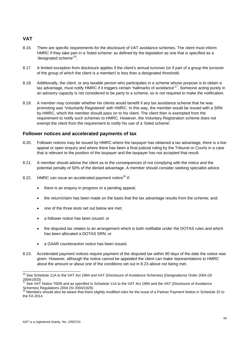# **VAT**

- 8.16. There are specific requirements for the disclosure of VAT avoidance schemes. The client must inform HMRC if they take part in a 'listed scheme' as defined by the legislation as one that is specified as a 'designated scheme'<sup>16</sup>.
- 8.17. A limited exception from disclosure applies if the client's annual turnover (or if part of a group the turnover of the group of which the client is a member) is less than a designated threshold.
- 8.18. Additionally, the client, or any taxable person who participates in a scheme whose purpose is to obtain a tax advantage, must notify HMRC if it triggers certain 'hallmarks of avoidance'<sup>17</sup>. Someone acting purely in an advisory capacity is not considered to be party to a scheme, so is not required to make the notification.
- 8.19. A member may consider whether his clients would benefit if any tax avoidance scheme that he was promoting was 'Voluntarily Registered' with HMRC. In this way, the member would be issued with a SRN by HMRC, which the member should pass on to his client. The client then is exempted from the requirement to notify such schemes to HMRC. However, the Voluntary Registration scheme does not exempt the client from the requirement to notify his use of a 'listed scheme'.

# **Follower notices and accelerated payments of tax**

- 8.20. Follower notices may be issued by HMRC where the taxpayer has obtained a tax advantage, there is a live appeal or open enquiry and where there has been a final judicial ruling by the Tribunal or Courts in a case that is relevant to the position of the taxpayer and the taxpayer has not accepted that result.
- 8.21. A member should advise the client as to the consequences of not complying with the notice and the potential penalty of 50% of the denied advantage. A member should consider seeking specialist advice.
- 8.22. HMRC can issue an accelerated payment notice<sup>18</sup> if:
	- there is an enquiry in progress or a pending appeal;
	- the return/claim has been made on the basis that the tax advantage results from the scheme; and;
	- one of the three tests set out below are met:
	- a follower notice has been issued; or
	- the disputed tax relates to an arrangement which is both notifiable under the DOTAS rules and which has been allocated a DOTAS SRN; or
	- a GAAR counteraction notice has been issued.
- 8.23. Accelerated payment notices require payment of the disputed tax within 90 days of the date the notice was given. However, although the notice cannot be appealed the client can make representations to HMRC about the amount or about one of the conditions set out in 8.23 above not being met.

 $\overline{\phantom{a}}$ 

<sup>&</sup>lt;sup>16</sup> See Schedule 11A to the VAT Act 1994 and VAT (Disclosure of Avoidance Schemes) (Designations) Order 2004 (SI 2004/1933)

<sup>&</sup>lt;sup>17</sup> See VAT Notice 700/8 and as specified in Schedule 11A to the VAT Act 1994 and the VAT (Disclosure of Avoidance Schemes) Regulations 2004 (SI 2004/1929).

<sup>18</sup> Members should also be aware that there slightly modified rules for the issue of a Partner Payment Notice in Schedule 32 to the FA 2014.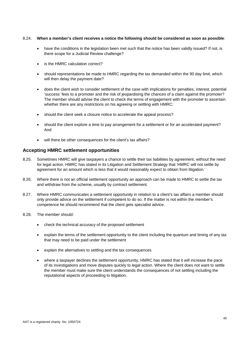#### 8.24. **When a member's client receives a notice the following should be considered as soon as possible**:

- have the conditions in the legislation been met such that the notice has been validly issued? If not, is there scope for a Judicial Review challenge?
- is the HMRC calculation correct?
- should representations be made to HMRC regarding the tax demanded within the 90 day limit, which will then delay the payment date?
- does the client wish to consider settlement of the case with implications for penalties, interest, potential 'success' fees to a promoter and the risk of jeopardising the chances of a claim against the promoter? The member should advise the client to check the terms of engagement with the promoter to ascertain whether there are any restrictions on his agreeing or settling with HMRC;
- should the client seek a closure notice to accelerate the appeal process?
- should the client explore a time to pay arrangement for a settlement or for an accelerated payment? And
- will there be other consequences for the client's tax affairs?

# **Accepting HMRC settlement opportunities**

- 8.25. Sometimes HMRC will give taxpayers a chance to settle their tax liabilities by agreement, without the need for legal action. HMRC has stated in its Litigation and Settlement Strategy that 'HMRC will not settle by agreement for an amount which is less that it would reasonably expect to obtain from litigation.'
- 8.26. Where there is not an official settlement opportunity an approach can be made to HMRC to settle the tax and withdraw from the scheme, usually by contract settlement.
- 8.27. Where HMRC communicates a settlement opportunity in relation to a client's tax affairs a member should only provide advice on the settlement if competent to do so. If the matter is not within the member's competence he should recommend that the client gets specialist advice.
- 8.28. The member should:
	- check the technical accuracy of the proposed settlement
	- explain the terms of the settlement opportunity to the client including the quantum and timing of any tax that may need to be paid under the settlement
	- explain the alternatives to settling and the tax consequences
	- where a taxpayer declines the settlement opportunity, HMRC has stated that it will increase the pace of its investigations and move disputes quickly to legal action. Where the client does not want to settle the member must make sure the client understands the consequences of not settling including the reputational aspects of proceeding to litigation.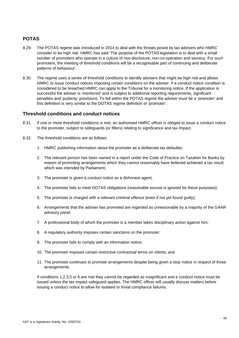# **POTAS**

- 8.29. The POTAS regime was introduced in 2014 to deal with the threats posed by tax advisers who HMRC consider to be high risk. HMRC has said 'The purpose of the POTAS legislation is to deal with a small number of promoters who operate in a culture of non-disclosure, non-co-operation and secrecy. For such promoters, the meeting of threshold conditions will be a recognisable part of continuing and deliberate patterns of behaviour'.
- 8.30. The regime uses a series of threshold conditions to identify advisers that might be high risk and allows HMRC to issue conduct notices imposing certain conditions on the adviser. If a conduct notice condition is considered to be breached HMRC can apply to the Tribunal for a monitoring notice. If the application is successful the adviser is 'monitored' and is subject to additional reporting requirements, significant penalties and 'publicity' provisions. To fall within the POTAS regime the adviser must be a 'promoter' and this definition is very similar to the DOTAS regime definition of 'promoter'.

# **Threshold conditions and conduct notices**

- 8.31. If one or more threshold conditions is met, an authorised HMRC officer is obliged to issue a conduct notice to the promoter, subject to safeguards (or filters) relating to significance and tax impact.
- 8.32. The threshold conditions are as follows:
	- 1. HMRC publishing information about the promoter as a deliberate tax defaulter;
	- 2. The relevant person has been named in a report under the Code of Practice on Taxation for Banks by reason of promoting arrangements which they cannot reasonably have believed achieved a tax result which was intended by Parliament;
	- 3. The promoter is given a conduct notice as a dishonest agent;
	- 4. The promoter fails to meet DOTAS obligations (reasonable excuse is ignored for these purposes);
	- 5. The promoter is charged with a relevant criminal offence (even if not yet found guilty);
	- 6. Arrangements that the adviser has promoted are regarded as unreasonable by a majority of the GAAR advisory panel;
	- 7. A professional body of which the promoter is a member takes disciplinary action against him;
	- 8. A regulatory authority imposes certain sanctions on the promoter;
	- 9. The promoter fails to comply with an information notice;
	- 10. The promoter imposes certain restrictive contractual terms on clients; and
	- 11. The promoter continues to promote arrangements despite being given a stop notice in respect of those arrangements.

If conditions 1,2,3,5 or 6 are met they cannot be regarded as insignificant and a conduct notice must be issued unless the tax impact safeguard applies. The HMRC officer will usually discuss matters before issuing a conduct notice to allow for isolated or trivial compliance failures.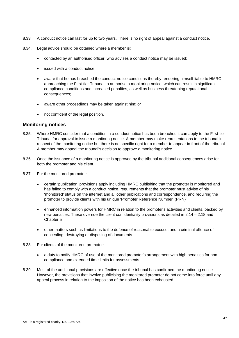- 8.33. A conduct notice can last for up to two years. There is no right of appeal against a conduct notice.
- 8.34. Legal advice should be obtained where a member is:
	- contacted by an authorised officer, who advises a conduct notice may be issued;
	- issued with a conduct notice;
	- aware that he has breached the conduct notice conditions thereby rendering himself liable to HMRC approaching the First-tier Tribunal to authorise a monitoring notice, which can result in significant compliance conditions and increased penalties, as well as business threatening reputational consequences;
	- aware other proceedings may be taken against him; or
	- not confident of the legal position.

#### **Monitoring notices**

- 8.35. Where HMRC consider that a condition in a conduct notice has been breached it can apply to the First-tier Tribunal for approval to issue a monitoring notice. A member may make representations to the tribunal in respect of the monitoring notice but there is no specific right for a member to appear in front of the tribunal. A member may appeal the tribunal's decision to approve a monitoring notice.
- 8.36. Once the issuance of a monitoring notice is approved by the tribunal additional consequences arise for both the promoter and his client.
- 8.37. For the monitored promoter:
	- certain 'publication' provisions apply including HMRC publishing that the promoter is monitored and has failed to comply with a conduct notice, requirements that the promoter must advise of his 'monitored' status on the internet and all other publications and correspondence, and requiring the promoter to provide clients with his unique 'Promoter Reference Number' (PRN)
	- enhanced information powers for HMRC in relation to the promoter's activities and clients, backed by new penalties. These override the client confidentiality provisions as detailed in 2.14 – 2.18 and Chapter 5
	- other matters such as limitations to the defence of reasonable excuse, and a criminal offence of concealing, destroying or disposing of documents.
- 8.38. For clients of the monitored promoter:
	- a duty to notify HMRC of use of the monitored promoter's arrangement with high penalties for noncompliance and extended time limits for assessments.
- 8.39. Most of the additional provisions are effective once the tribunal has confirmed the monitoring notice. However, the provisions that involve publicising the monitored promoter do not come into force until any appeal process in relation to the imposition of the notice has been exhausted.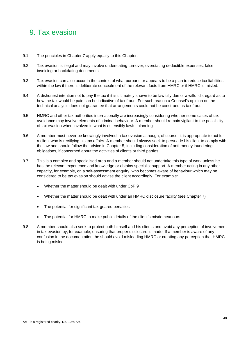# 9. Tax evasion

- 9.1. The principles in Chapter 7 apply equally to this Chapter.
- 9.2. Tax evasion is illegal and may involve understating turnover, overstating deductible expenses, false invoicing or backdating documents.
- 9.3. Tax evasion can also occur in the context of what purports or appears to be a plan to reduce tax liabilities within the law if there is deliberate concealment of the relevant facts from HMRC or if HMRC is misled.
- 9.4. A dishonest intention not to pay the tax if it is ultimately shown to be lawfully due or a wilful disregard as to how the tax would be paid can be indicative of tax fraud. For such reason a Counsel's opinion on the technical analysis does not guarantee that arrangements could not be construed as tax fraud.
- 9.5. HMRC and other tax authorities internationally are increasingly considering whether some cases of tax avoidance may involve elements of criminal behaviour. A member should remain vigilant to the possibility of tax evasion when involved in what is ostensibly lawful planning.
- 9.6. A member must never be knowingly involved in tax evasion although, of course, it is appropriate to act for a client who is rectifying his tax affairs. A member should always seek to persuade his client to comply with the law and should follow the advice in Chapter 5, including consideration of anti-money laundering obligations, if concerned about the activities of clients or third parties.
- 9.7. This is a complex and specialised area and a member should not undertake this type of work unless he has the relevant experience and knowledge or obtains specialist support. A member acting in any other capacity, for example, on a self-assessment enquiry, who becomes aware of behaviour which may be considered to be tax evasion should advise the client accordingly. For example:
	- Whether the matter should be dealt with under CoP 9
	- Whether the matter should be dealt with under an HMRC disclosure facility (see Chapter 7)
	- The potential for significant tax-geared penalties
	- The potential for HMRC to make public details of the client's misdemeanours.
- 9.8. A member should also seek to protect both himself and his clients and avoid any perception of involvement in tax evasion by, for example, ensuring that proper disclosure is made. If a member is aware of any confusion in the documentation, he should avoid misleading HMRC or creating any perception that HMRC is being misled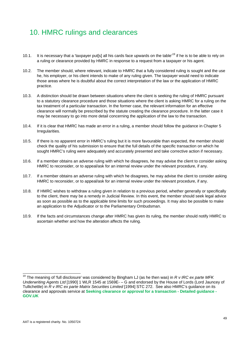# 10. HMRC rulings and clearances

- 10.1. It is necessary that a 'taxpayer put[s] all his cards face upwards on the table<sup>19</sup> if he is to be able to rely on a ruling or clearance provided by HMRC in response to a request from a taxpayer or his agent.
- 10.2. The member should, where relevant, indicate to HMRC that a fully considered ruling is sought and the use he, his employer, or his client intends to make of any ruling given. The taxpayer would need to indicate those areas where he is doubtful about the correct interpretation of the law or the application of HMRC practice.
- 10.3. A distinction should be drawn between situations where the client is seeking the ruling of HMRC pursuant to a statutory clearance procedure and those situations where the client is asking HMRC for a ruling on the tax treatment of a particular transaction. In the former case, the relevant information for an effective clearance will normally be prescribed by the statute creating the clearance procedure. In the latter case it may be necessary to go into more detail concerning the application of the law to the transaction.
- 10.4. If it is clear that HMRC has made an error in a ruling, a member should follow the guidance in Chapter 5 Irregularities.
- 10.5. If there is no apparent error in HMRC's ruling but it is more favourable than expected, the member should check the quality of his submission to ensure that the full details of the specific transaction on which he sought HMRC's ruling were adequately and accurately presented and take corrective action if necessary.
- 10.6. If a member obtains an adverse ruling with which he disagrees, he may advise the client to consider asking HMRC to reconsider, or to appeal/ask for an internal review under the relevant procedure, if any.
- 10.7. If a member obtains an adverse ruling with which he disagrees, he may advise the client to consider asking HMRC to reconsider, or to appeal/ask for an internal review under the relevant procedure, if any.
- 10.8. If HMRC wishes to withdraw a ruling given in relation to a previous period, whether generally or specifically to the client, there may be a remedy in Judicial Review. In this event, the member should seek legal advice as soon as possible as to the applicable time limits for such proceedings. It may also be possible to make an application to the Adjudicator or to the Parliamentary Ombudsman.
- 10.9. If the facts and circumstances change after HMRC has given its ruling, the member should notify HMRC to ascertain whether and how the alteration affects the ruling.

l

<sup>19</sup> The meaning of 'full disclosure' was considered by Bingham LJ (as he then was) in *R v IRC ex parte MFK Underwriting Agents Ltd* [1990] 1 WLR 1545 at 1569E- – G and endorsed by the House of Lords (Lord Jauncey of Tullichettle) in *R v IRC ex parte Matrix Securities Limited* [1994] STC 272. See also HMRC's guidance on its clearance and approvals service at **Seeking clearance or approval for a transaction - Detailed guidance - GOV.UK**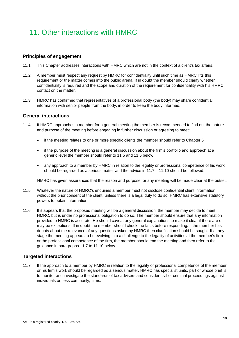# 11. Other interactions with HMRC

# **Principles of engagement**

- 11.1. This Chapter addresses interactions with HMRC which are not in the context of a client's tax affairs.
- 11.2. A member must respect any request by HMRC for confidentiality until such time as HMRC lifts this requirement or the matter comes into the public arena. If in doubt the member should clarify whether confidentiality is required and the scope and duration of the requirement for confidentiality with his HMRC contact on the matter.
- 11.3. HMRC has confirmed that representatives of a professional body (the body) may share confidential information with senior people from the body, in order to keep the body informed.

# **General interactions**

- 11.4. If HMRC approaches a member for a general meeting the member is recommended to find out the nature and purpose of the meeting before engaging in further discussion or agreeing to meet:
	- if the meeting relates to one or more specific clients the member should refer to Chapter 5
	- if the purpose of the meeting is a general discussion about the firm's portfolio and approach at a generic level the member should refer to 11.5 and 11.6 below
	- any approach to a member by HMRC in relation to the legality or professional competence of his work should be regarded as a serious matter and the advice in 11.7 – 11.10 should be followed.

HMRC has given assurances that the reason and purpose for any meeting will be made clear at the outset.

- 11.5. Whatever the nature of HMRC's enquiries a member must not disclose confidential client information without the prior consent of the client, unless there is a legal duty to do so. HMRC has extensive statutory powers to obtain information.
- 11.6. If it appears that the proposed meeting will be a general discussion, the member may decide to meet HMRC, but is under no professional obligation to do so. The member should ensure that any information provided to HMRC is accurate. He should caveat any general explanations to make it clear if there are or may be exceptions. If in doubt the member should check the facts before responding. If the member has doubts about the relevance of any questions asked by HMRC then clarification should be sought. If at any stage the meeting appears to be evolving into a challenge to the legality of activities at the member's firm or the professional competence of the firm, the member should end the meeting and then refer to the guidance in paragraphs 11.7 to 11.10 below.

# **Targeted interactions**

11.7. If the approach to a member by HMRC in relation to the legality or professional competence of the member or his firm's work should be regarded as a serious matter. HMRC has specialist units, part of whose brief is to monitor and investigate the standards of tax advisers and consider civil or criminal proceedings against individuals or, less commonly, firms.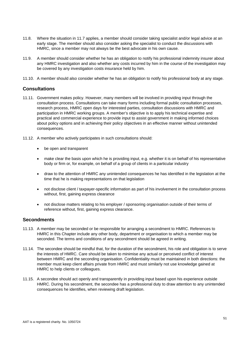- 11.8. Where the situation in 11.7 applies, a member should consider taking specialist and/or legal advice at an early stage. The member should also consider asking the specialist to conduct the discussions with HMRC, since a member may not always be the best advocate in his own cause.
- 11.9. A member should consider whether he has an obligation to notify his professional indemnity insurer about any HMRC investigation and also whether any costs incurred by him in the course of the investigation may be covered by any investigation costs insurance held by him.
- 11.10. A member should also consider whether he has an obligation to notify his professional body at any stage.

# **Consultations**

- 11.11. Government makes policy. However, many members will be involved in providing input through the consultation process. Consultations can take many forms including formal public consultation processes, research process, HMRC open days for interested parties, consultation discussions with HMRC and participation in HMRC working groups. A member's objective is to apply his technical expertise and practical and commercial experience to provide input to assist government in making informed choices about policy options and in achieving their policy objectives in an effective manner without unintended consequences.
- 11.12. A member who actively participates in such consultations should:
	- be open and transparent
	- make clear the basis upon which he is providing input, e.g. whether it is on behalf of his representative body or firm or, for example, on behalf of a group of clients in a particular industry
	- draw to the attention of HMRC any unintended consequences he has identified in the legislation at the time that he is making representations on that legislation
	- not disclose client / taxpayer-specific information as part of his involvement in the consultation process without, first, gaining express clearance
	- not disclose matters relating to his employer / sponsoring organisation outside of their terms of reference without, first, gaining express clearance.

# **Secondments**

- 11.13. A member may be seconded or be responsible for arranging a secondment to HMRC. References to HMRC in this Chapter include any other body, department or organisation to which a member may be seconded. The terms and conditions of any secondment should be agreed in writing.
- 11.14. The secondee should be mindful that, for the duration of the secondment, his role and obligation is to serve the interests of HMRC. Care should be taken to minimise any actual or perceived conflict of interest between HMRC and the seconding organisation. Confidentiality must be maintained in both directions: the member must keep client affairs private from HMRC and must similarly not use knowledge gained at HMRC to help clients or colleagues.
- 11.15. A secondee should act openly and transparently in providing input based upon his experience outside HMRC. During his secondment, the secondee has a professional duty to draw attention to any unintended consequences he identifies, when reviewing draft legislation.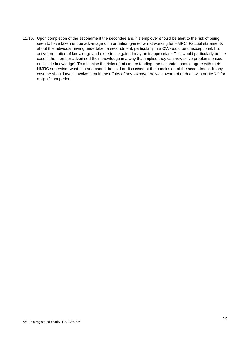11.16. Upon completion of the secondment the secondee and his employer should be alert to the risk of being seen to have taken undue advantage of information gained whilst working for HMRC. Factual statements about the individual having undertaken a secondment, particularly in a CV, would be unexceptional, but active promotion of knowledge and experience gained may be inappropriate. This would particularly be the case if the member advertised their knowledge in a way that implied they can now solve problems based on 'inside knowledge'. To minimise the risks of misunderstanding, the secondee should agree with their HMRC supervisor what can and cannot be said or discussed at the conclusion of the secondment. In any case he should avoid involvement in the affairs of any taxpayer he was aware of or dealt with at HMRC for a significant period.